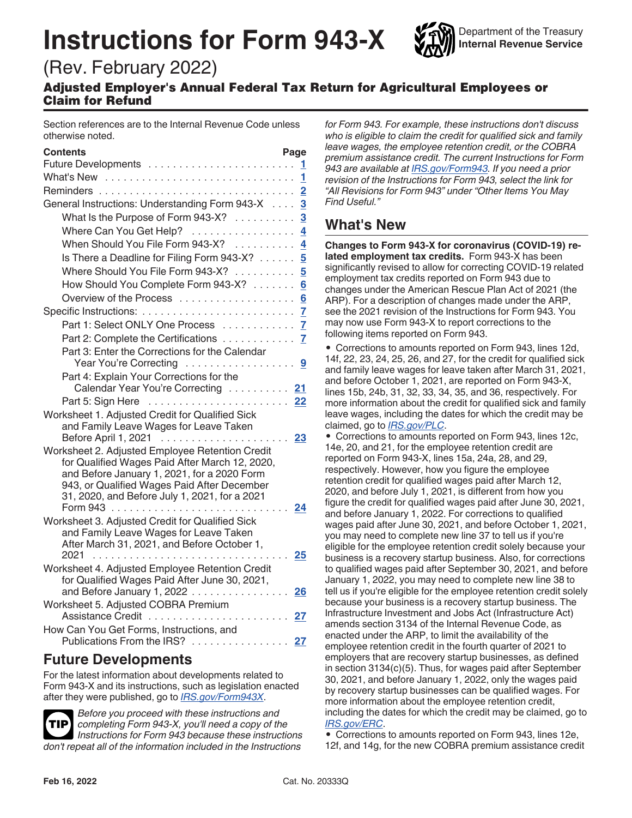# **Instructions for Form 943-X**

Department of the Treasury **Internal Revenue Service**

# (Rev. February 2022)

Adjusted Employer's Annual Federal Tax Return for Agricultural Employees or Claim for Refund

Section references are to the Internal Revenue Code unless otherwise noted.

| Contents                                                                              | Page |
|---------------------------------------------------------------------------------------|------|
|                                                                                       | 1.   |
| What's New                                                                            | 1    |
| Reminders                                                                             |      |
| General Instructions: Understanding Form 943-X 3                                      |      |
| What Is the Purpose of Form 943-X? $\ldots \ldots \ldots$                             |      |
| Where Can You Get Help? 4                                                             |      |
| When Should You File Form 943-X? 4                                                    |      |
| Is There a Deadline for Filing Form 943-X? 5                                          |      |
| Where Should You File Form 943-X?  5                                                  |      |
| How Should You Complete Form 943-X? 6                                                 |      |
|                                                                                       |      |
|                                                                                       |      |
| Part 1: Select ONLY One Process 7                                                     |      |
| Part 2: Complete the Certifications 7                                                 |      |
| Part 3: Enter the Corrections for the Calendar                                        |      |
|                                                                                       |      |
| Part 4: Explain Your Corrections for the                                              |      |
| Calendar Year You're Correcting  21                                                   |      |
| Part 5: Sign Here                                                                     | 22   |
| Worksheet 1. Adjusted Credit for Qualified Sick                                       |      |
| and Family Leave Wages for Leave Taken<br>Before April 1, 2021                        | 23   |
| Worksheet 2. Adjusted Employee Retention Credit                                       |      |
| for Qualified Wages Paid After March 12, 2020,                                        |      |
| and Before January 1, 2021, for a 2020 Form                                           |      |
| 943, or Qualified Wages Paid After December                                           |      |
| 31, 2020, and Before July 1, 2021, for a 2021                                         |      |
|                                                                                       | 24   |
| Worksheet 3. Adjusted Credit for Qualified Sick                                       |      |
| and Family Leave Wages for Leave Taken<br>After March 31, 2021, and Before October 1, |      |
| 2021                                                                                  | 25   |
| Worksheet 4. Adjusted Employee Retention Credit                                       |      |
| for Qualified Wages Paid After June 30, 2021,                                         |      |
| and Before January 1, 2022                                                            | 26   |
| Worksheet 5. Adjusted COBRA Premium                                                   |      |
|                                                                                       | 27   |
| How Can You Get Forms, Instructions, and                                              |      |
| Publications From the IRS?                                                            | 27   |

# **Future Developments**

For the latest information about developments related to Form 943-X and its instructions, such as legislation enacted after they were published, go to *[IRS.gov/Form943X](https://www.irs.gov/form943x)*.

*Before you proceed with these instructions and completing Form 943-X, you'll need a copy of the Instructions for Form 943 because these instructions don't repeat all of the information included in the Instructions*  **TIP**

*for Form 943. For example, these instructions don't discuss who is eligible to claim the credit for qualified sick and family leave wages, the employee retention credit, or the COBRA premium assistance credit. The current Instructions for Form 943 are available at [IRS.gov/Form943.](https://www.irs.gov/form943) If you need a prior revision of the Instructions for Form 943, select the link for "All Revisions for Form 943" under "Other Items You May Find Useful."*

# **What's New**

**Changes to Form 943-X for coronavirus (COVID-19) related employment tax credits.** Form 943-X has been significantly revised to allow for correcting COVID-19 related employment tax credits reported on Form 943 due to changes under the American Rescue Plan Act of 2021 (the ARP). For a description of changes made under the ARP, see the 2021 revision of the Instructions for Form 943. You may now use Form 943-X to report corrections to the following items reported on Form 943.

• Corrections to amounts reported on Form 943, lines 12d, 14f, 22, 23, 24, 25, 26, and 27, for the credit for qualified sick and family leave wages for leave taken after March 31, 2021, and before October 1, 2021, are reported on Form 943-X, lines 15b, 24b, 31, 32, 33, 34, 35, and 36, respectively. For more information about the credit for qualified sick and family leave wages, including the dates for which the credit may be claimed, go to *[IRS.gov/PLC](https://www.irs.gov/plc)*.

• Corrections to amounts reported on Form 943, lines 12c, 14e, 20, and 21, for the employee retention credit are reported on Form 943-X, lines 15a, 24a, 28, and 29, respectively. However, how you figure the employee retention credit for qualified wages paid after March 12, 2020, and before July 1, 2021, is different from how you figure the credit for qualified wages paid after June 30, 2021, and before January 1, 2022. For corrections to qualified wages paid after June 30, 2021, and before October 1, 2021, you may need to complete new line 37 to tell us if you're eligible for the employee retention credit solely because your business is a recovery startup business. Also, for corrections to qualified wages paid after September 30, 2021, and before January 1, 2022, you may need to complete new line 38 to tell us if you're eligible for the employee retention credit solely because your business is a recovery startup business. The Infrastructure Investment and Jobs Act (Infrastructure Act) amends section 3134 of the Internal Revenue Code, as enacted under the ARP, to limit the availability of the employee retention credit in the fourth quarter of 2021 to employers that are recovery startup businesses, as defined in section 3134(c)(5). Thus, for wages paid after September 30, 2021, and before January 1, 2022, only the wages paid by recovery startup businesses can be qualified wages. For more information about the employee retention credit, including the dates for which the credit may be claimed, go to *[IRS.gov/ERC](https://www.irs.gov/erc)*.

• Corrections to amounts reported on Form 943, lines 12e, 12f, and 14g, for the new COBRA premium assistance credit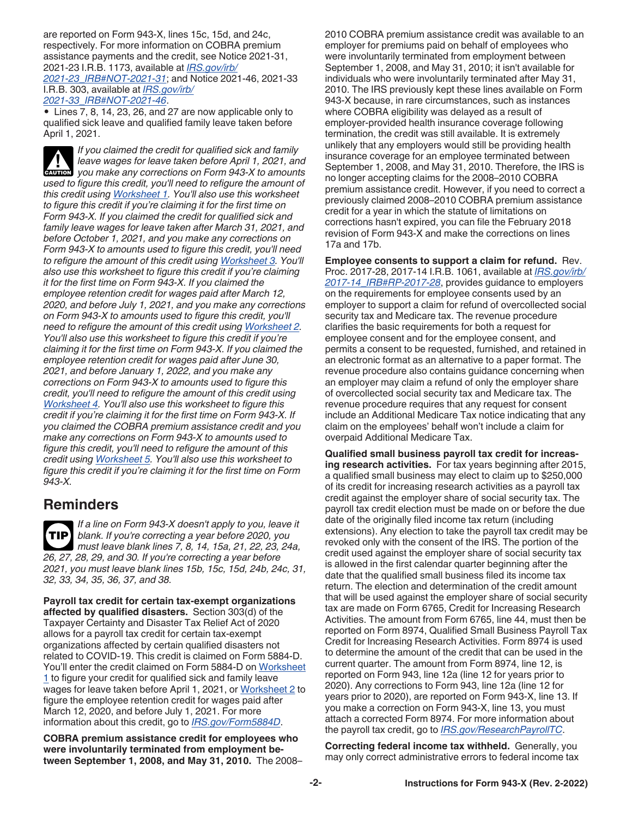<span id="page-1-0"></span>are reported on Form 943-X, lines 15c, 15d, and 24c, respectively. For more information on COBRA premium assistance payments and the credit, see Notice 2021-31, 2021-23 I.R.B. 1173, available at *[IRS.gov/irb/](https://www.IRS.gov/irb/2021-23_IRB#NOT-2021-31) [2021-23\\_IRB#NOT-2021-31](https://www.IRS.gov/irb/2021-23_IRB#NOT-2021-31)*; and Notice 2021-46, 2021-33 I.R.B. 303, available at *[IRS.gov/irb/](https://www.IRS.gov/irb/2021-33_IRB#NOT-2021-46) [2021-33\\_IRB#NOT-2021-46](https://www.IRS.gov/irb/2021-33_IRB#NOT-2021-46)*.

• Lines 7, 8, 14, 23, 26, and 27 are now applicable only to qualified sick leave and qualified family leave taken before April 1, 2021.

*If you claimed the credit for qualified sick and family leave wages for leave taken before April 1, 2021, and you make any corrections on Form 943-X to amounts*  $\frac{1}{2}$  and  $\frac{1}{2}$  and  $\frac{1}{2}$  and  $\frac{1}{2}$  and  $\frac{1}{2}$  and  $\frac{1}{2}$  and  $\frac{1}{2}$  and  $\frac{1}{2}$  and  $\frac{1}{2}$  and  $\frac{1}{2}$  and  $\frac{1}{2}$  and  $\frac{1}{2}$  and  $\$ *used to figure this credit, you'll need to refigure the amount of this credit using [Worksheet 1.](#page-22-0) You'll also use this worksheet to figure this credit if you're claiming it for the first time on Form 943-X. If you claimed the credit for qualified sick and family leave wages for leave taken after March 31, 2021, and before October 1, 2021, and you make any corrections on Form 943-X to amounts used to figure this credit, you'll need to refigure the amount of this credit using [Worksheet 3.](#page-24-0) You'll also use this worksheet to figure this credit if you're claiming it for the first time on Form 943-X. If you claimed the employee retention credit for wages paid after March 12, 2020, and before July 1, 2021, and you make any corrections on Form 943-X to amounts used to figure this credit, you'll need to refigure the amount of this credit using [Worksheet 2](#page-23-0). You'll also use this worksheet to figure this credit if you're claiming it for the first time on Form 943-X. If you claimed the employee retention credit for wages paid after June 30, 2021, and before January 1, 2022, and you make any corrections on Form 943-X to amounts used to figure this credit, you'll need to refigure the amount of this credit using [Worksheet 4.](#page-25-0) You'll also use this worksheet to figure this credit if you're claiming it for the first time on Form 943-X. If you claimed the COBRA premium assistance credit and you make any corrections on Form 943-X to amounts used to figure this credit, you'll need to refigure the amount of this credit using [Worksheet 5.](#page-26-0) You'll also use this worksheet to figure this credit if you're claiming it for the first time on Form 943-X.*

# **Reminders**

*If a line on Form 943-X doesn't apply to you, leave it blank. If you're correcting a year before 2020, you must leave blank lines 7, 8, 14, 15a, 21, 22, 23, 24a, 26, 27, 28, 29, and 30. If you're correcting a year before 2021, you must leave blank lines 15b, 15c, 15d, 24b, 24c, 31, 32, 33, 34, 35, 36, 37, and 38.* **TIP**

**Payroll tax credit for certain tax-exempt organizations affected by qualified disasters.** Section 303(d) of the Taxpayer Certainty and Disaster Tax Relief Act of 2020 allows for a payroll tax credit for certain tax-exempt organizations affected by certain qualified disasters not related to COVID-19. This credit is claimed on Form 5884-D. You'll enter the credit claimed on Form 5884-D on [Worksheet](#page-22-0) [1](#page-22-0) to figure your credit for qualified sick and family leave wages for leave taken before April 1, 2021, or [Worksheet 2](#page-23-0) to figure the employee retention credit for wages paid after March 12, 2020, and before July 1, 2021. For more information about this credit, go to *[IRS.gov/Form5884D](https://www.irs.gov/form5884d)*.

**COBRA premium assistance credit for employees who were involuntarily terminated from employment between September 1, 2008, and May 31, 2010.** The 2008– 2010 COBRA premium assistance credit was available to an employer for premiums paid on behalf of employees who were involuntarily terminated from employment between September 1, 2008, and May 31, 2010; it isn't available for individuals who were involuntarily terminated after May 31, 2010. The IRS previously kept these lines available on Form 943-X because, in rare circumstances, such as instances where COBRA eligibility was delayed as a result of employer-provided health insurance coverage following termination, the credit was still available. It is extremely unlikely that any employers would still be providing health insurance coverage for an employee terminated between September 1, 2008, and May 31, 2010. Therefore, the IRS is no longer accepting claims for the 2008–2010 COBRA premium assistance credit. However, if you need to correct a previously claimed 2008–2010 COBRA premium assistance credit for a year in which the statute of limitations on corrections hasn't expired, you can file the February 2018 revision of Form 943-X and make the corrections on lines 17a and 17b.

**Employee consents to support a claim for refund.** Rev. Proc. 2017-28, 2017-14 I.R.B. 1061, available at *[IRS.gov/irb/](https://www.irs.gov/irb/2017-14_IRB#RP-2017-28) [2017-14\\_IRB#RP-2017-28](https://www.irs.gov/irb/2017-14_IRB#RP-2017-28)*, provides guidance to employers on the requirements for employee consents used by an employer to support a claim for refund of overcollected social security tax and Medicare tax. The revenue procedure clarifies the basic requirements for both a request for employee consent and for the employee consent, and permits a consent to be requested, furnished, and retained in an electronic format as an alternative to a paper format. The revenue procedure also contains guidance concerning when an employer may claim a refund of only the employer share of overcollected social security tax and Medicare tax. The revenue procedure requires that any request for consent include an Additional Medicare Tax notice indicating that any claim on the employees' behalf won't include a claim for overpaid Additional Medicare Tax.

**Qualified small business payroll tax credit for increasing research activities.** For tax years beginning after 2015, a qualified small business may elect to claim up to \$250,000 of its credit for increasing research activities as a payroll tax credit against the employer share of social security tax. The payroll tax credit election must be made on or before the due date of the originally filed income tax return (including extensions). Any election to take the payroll tax credit may be revoked only with the consent of the IRS. The portion of the credit used against the employer share of social security tax is allowed in the first calendar quarter beginning after the date that the qualified small business filed its income tax return. The election and determination of the credit amount that will be used against the employer share of social security tax are made on Form 6765, Credit for Increasing Research Activities. The amount from Form 6765, line 44, must then be reported on Form 8974, Qualified Small Business Payroll Tax Credit for Increasing Research Activities. Form 8974 is used to determine the amount of the credit that can be used in the current quarter. The amount from Form 8974, line 12, is reported on Form 943, line 12a (line 12 for years prior to 2020). Any corrections to Form 943, line 12a (line 12 for years prior to 2020), are reported on Form 943-X, line 13. If you make a correction on Form 943-X, line 13, you must attach a corrected Form 8974. For more information about the payroll tax credit, go to *[IRS.gov/ResearchPayrollTC](https://www.irs.gov/researchpayrolltc)*.

**Correcting federal income tax withheld.** Generally, you may only correct administrative errors to federal income tax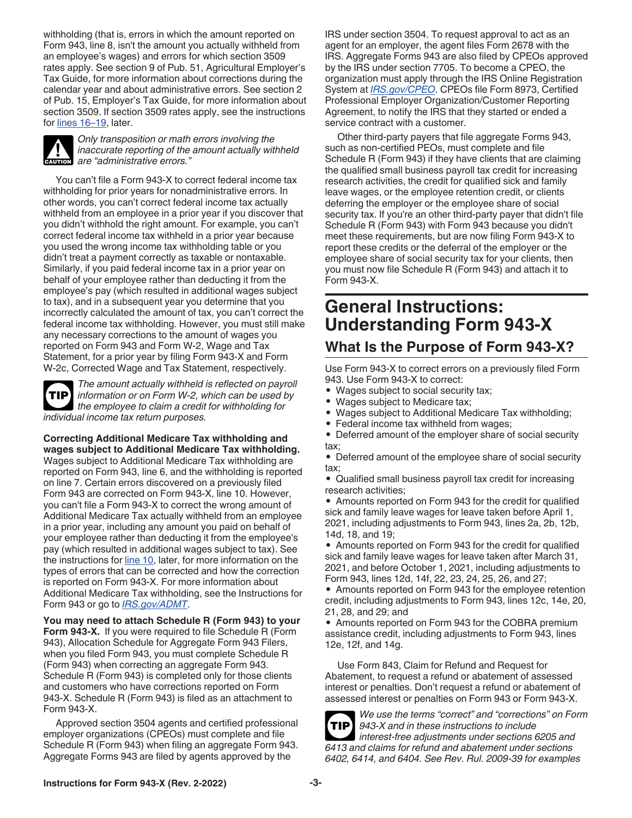<span id="page-2-0"></span>withholding (that is, errors in which the amount reported on Form 943, line 8, isn't the amount you actually withheld from an employee's wages) and errors for which section 3509 rates apply. See section 9 of Pub. 51, Agricultural Employer's Tax Guide, for more information about corrections during the calendar year and about administrative errors. See section 2 of Pub. 15, Employer's Tax Guide, for more information about section 3509. If section 3509 rates apply, see the instructions for [lines 16–19,](#page-15-0) later.



*Only transposition or math errors involving the inaccurate reporting of the amount actually withheld*  **CAUTION** are "administrative errors."

You can't file a Form 943-X to correct federal income tax withholding for prior years for nonadministrative errors. In other words, you can't correct federal income tax actually withheld from an employee in a prior year if you discover that you didn't withhold the right amount. For example, you can't correct federal income tax withheld in a prior year because you used the wrong income tax withholding table or you didn't treat a payment correctly as taxable or nontaxable. Similarly, if you paid federal income tax in a prior year on behalf of your employee rather than deducting it from the employee's pay (which resulted in additional wages subject to tax), and in a subsequent year you determine that you incorrectly calculated the amount of tax, you can't correct the federal income tax withholding. However, you must still make any necessary corrections to the amount of wages you reported on Form 943 and Form W-2, Wage and Tax Statement, for a prior year by filing Form 943-X and Form W-2c, Corrected Wage and Tax Statement, respectively.

*The amount actually withheld is reflected on payroll information or on Form W-2, which can be used by the employee to claim a credit for withholding for individual income tax return purposes.* **TIP**

**Correcting Additional Medicare Tax withholding and wages subject to Additional Medicare Tax withholding.**  Wages subject to Additional Medicare Tax withholding are reported on Form 943, line 6, and the withholding is reported on line 7. Certain errors discovered on a previously filed Form 943 are corrected on Form 943-X, line 10. However, you can't file a Form 943-X to correct the wrong amount of Additional Medicare Tax actually withheld from an employee in a prior year, including any amount you paid on behalf of your employee rather than deducting it from the employee's pay (which resulted in additional wages subject to tax). See the instructions for [line 10,](#page-10-0) later, for more information on the types of errors that can be corrected and how the correction is reported on Form 943-X. For more information about Additional Medicare Tax withholding, see the Instructions for Form 943 or go to *[IRS.gov/ADMT](https://www.irs.gov/admt)*.

**You may need to attach Schedule R (Form 943) to your Form 943-X.** If you were required to file Schedule R (Form 943), Allocation Schedule for Aggregate Form 943 Filers, when you filed Form 943, you must complete Schedule R (Form 943) when correcting an aggregate Form 943. Schedule R (Form 943) is completed only for those clients and customers who have corrections reported on Form 943-X. Schedule R (Form 943) is filed as an attachment to Form 943-X.

Approved section 3504 agents and certified professional employer organizations (CPEOs) must complete and file Schedule R (Form 943) when filing an aggregate Form 943. Aggregate Forms 943 are filed by agents approved by the

IRS under section 3504. To request approval to act as an agent for an employer, the agent files Form 2678 with the IRS. Aggregate Forms 943 are also filed by CPEOs approved by the IRS under section 7705. To become a CPEO, the organization must apply through the IRS Online Registration System at *[IRS.gov/CPEO](https://www.irs.gov/cpeo)*. CPEOs file Form 8973, Certified Professional Employer Organization/Customer Reporting Agreement, to notify the IRS that they started or ended a service contract with a customer.

Other third-party payers that file aggregate Forms 943, such as non-certified PEOs, must complete and file Schedule R (Form 943) if they have clients that are claiming the qualified small business payroll tax credit for increasing research activities, the credit for qualified sick and family leave wages, or the employee retention credit, or clients deferring the employer or the employee share of social security tax. If you're an other third-party payer that didn't file Schedule R (Form 943) with Form 943 because you didn't meet these requirements, but are now filing Form 943-X to report these credits or the deferral of the employer or the employee share of social security tax for your clients, then you must now file Schedule R (Form 943) and attach it to Form 943-X.

# **General Instructions: Understanding Form 943-X**

# **What Is the Purpose of Form 943-X?**

Use Form 943-X to correct errors on a previously filed Form 943. Use Form 943-X to correct:

- Wages subject to social security tax;
- Wages subject to Medicare tax;
- Wages subject to Additional Medicare Tax withholding;
- Federal income tax withheld from wages;

• Deferred amount of the employer share of social security tax;

• Deferred amount of the employee share of social security tax;

• Qualified small business payroll tax credit for increasing research activities;

• Amounts reported on Form 943 for the credit for qualified sick and family leave wages for leave taken before April 1, 2021, including adjustments to Form 943, lines 2a, 2b, 12b, 14d, 18, and 19;

• Amounts reported on Form 943 for the credit for qualified sick and family leave wages for leave taken after March 31, 2021, and before October 1, 2021, including adjustments to Form 943, lines 12d, 14f, 22, 23, 24, 25, 26, and 27;

• Amounts reported on Form 943 for the employee retention credit, including adjustments to Form 943, lines 12c, 14e, 20, 21, 28, and 29; and

• Amounts reported on Form 943 for the COBRA premium assistance credit, including adjustments to Form 943, lines 12e, 12f, and 14g.

Use Form 843, Claim for Refund and Request for Abatement, to request a refund or abatement of assessed interest or penalties. Don't request a refund or abatement of assessed interest or penalties on Form 943 or Form 943-X.



*We use the terms "correct" and "corrections" on Form 943-X and in these instructions to include* 

*interest-free adjustments under sections 6205 and 6413 and claims for refund and abatement under sections 6402, 6414, and 6404. See Rev. Rul. 2009-39 for examples*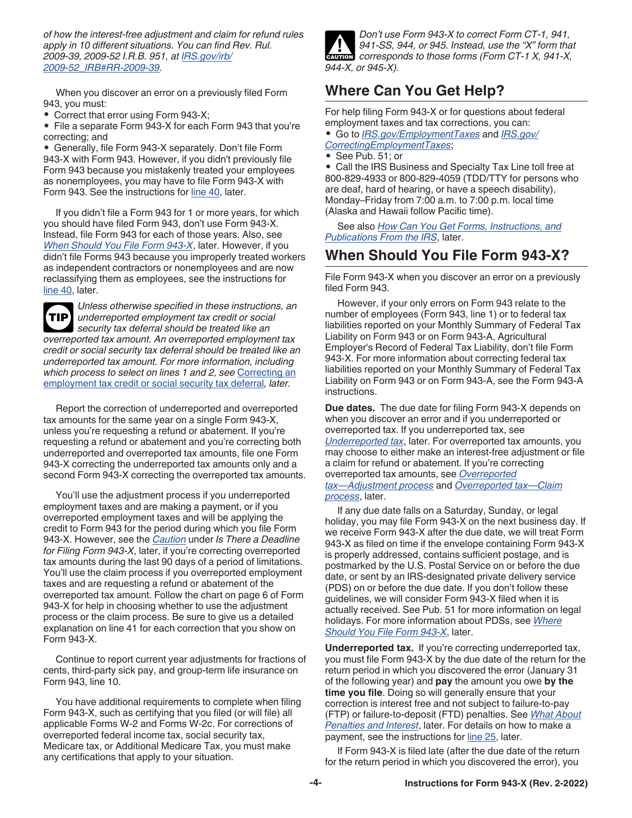<span id="page-3-0"></span>*of how the interest-free adjustment and claim for refund rules apply in 10 different situations. You can find Rev. Rul. 2009-39, 2009-52 I.R.B. 951, at [IRS.gov/irb/](https://www.irs.gov/irb/2009-52_IRB#RR-2009-39) [2009-52\\_IRB#RR-2009-39.](https://www.irs.gov/irb/2009-52_IRB#RR-2009-39)*

When you discover an error on a previously filed Form 943, you must:

• Correct that error using Form 943-X;

• File a separate Form 943-X for each Form 943 that you're correcting; and

• Generally, file Form 943-X separately. Don't file Form 943-X with Form 943. However, if you didn't previously file Form 943 because you mistakenly treated your employees as nonemployees, you may have to file Form 943-X with Form 943. See the instructions for [line 40,](#page-20-0) later.

If you didn't file a Form 943 for 1 or more years, for which you should have filed Form 943, don't use Form 943-X. Instead, file Form 943 for each of those years. Also, see *When Should You File Form 943-X*, later. However, if you didn't file Forms 943 because you improperly treated workers as independent contractors or nonemployees and are now reclassifying them as employees, see the instructions for [line 40,](#page-20-0) later.



*Unless otherwise specified in these instructions, an underreported employment tax credit or social security tax deferral should be treated like an overreported tax amount. An overreported employment tax credit or social security tax deferral should be treated like an underreported tax amount. For more information, including which process to select on lines 1 and 2, see* [Correcting an](#page-6-0)  [employment tax credit or social security tax deferral](#page-6-0)*, later.*

Report the correction of underreported and overreported tax amounts for the same year on a single Form 943-X, unless you're requesting a refund or abatement. If you're requesting a refund or abatement and you're correcting both underreported and overreported tax amounts, file one Form 943-X correcting the underreported tax amounts only and a second Form 943-X correcting the overreported tax amounts.

You'll use the adjustment process if you underreported employment taxes and are making a payment, or if you overreported employment taxes and will be applying the credit to Form 943 for the period during which you file Form 943-X. However, see the *[Caution](#page-4-0)* under *Is There a Deadline for Filing Form 943-X*, later, if you're correcting overreported tax amounts during the last 90 days of a period of limitations. You'll use the claim process if you overreported employment taxes and are requesting a refund or abatement of the overreported tax amount. Follow the chart on page 6 of Form 943-X for help in choosing whether to use the adjustment process or the claim process. Be sure to give us a detailed explanation on line 41 for each correction that you show on Form 943-X.

Continue to report current year adjustments for fractions of cents, third-party sick pay, and group-term life insurance on Form 943, line 10.

You have additional requirements to complete when filing Form 943-X, such as certifying that you filed (or will file) all applicable Forms W-2 and Forms W-2c. For corrections of overreported federal income tax, social security tax, Medicare tax, or Additional Medicare Tax, you must make any certifications that apply to your situation.



# **Where Can You Get Help?**

For help filing Form 943-X or for questions about federal employment taxes and tax corrections, you can:

• Go to *[IRS.gov/EmploymentTaxes](https://www.irs.gov/employmenttaxes)* and *[IRS.gov/](https://www.irs.gov/correctingemploymenttaxes) [CorrectingEmploymentTaxes](https://www.irs.gov/correctingemploymenttaxes)*;

• See Pub. 51; or

• Call the IRS Business and Specialty Tax Line toll free at 800-829-4933 or 800-829-4059 (TDD/TTY for persons who are deaf, hard of hearing, or have a speech disability), Monday–Friday from 7:00 a.m. to 7:00 p.m. local time (Alaska and Hawaii follow Pacific time).

See also *[How Can You Get Forms, Instructions, and](#page-26-0) [Publications From the IRS](#page-26-0)*, later.

# **When Should You File Form 943-X?**

File Form 943-X when you discover an error on a previously filed Form 943.

However, if your only errors on Form 943 relate to the number of employees (Form 943, line 1) or to federal tax liabilities reported on your Monthly Summary of Federal Tax Liability on Form 943 or on Form 943-A, Agricultural Employer's Record of Federal Tax Liability, don't file Form 943-X. For more information about correcting federal tax liabilities reported on your Monthly Summary of Federal Tax Liability on Form 943 or on Form 943-A, see the Form 943-A instructions.

**Due dates.** The due date for filing Form 943-X depends on when you discover an error and if you underreported or overreported tax. If you underreported tax, see *Underreported tax*, later. For overreported tax amounts, you may choose to either make an interest-free adjustment or file a claim for refund or abatement. If you're correcting overreported tax amounts, see *[Overreported](#page-4-0)  [tax—Adjustment process](#page-4-0)* and *[Overreported tax—Claim](#page-4-0) [process](#page-4-0)*, later.

If any due date falls on a Saturday, Sunday, or legal holiday, you may file Form 943-X on the next business day. If we receive Form 943-X after the due date, we will treat Form 943-X as filed on time if the envelope containing Form 943-X is properly addressed, contains sufficient postage, and is postmarked by the U.S. Postal Service on or before the due date, or sent by an IRS-designated private delivery service (PDS) on or before the due date. If you don't follow these guidelines, we will consider Form 943-X filed when it is actually received. See Pub. 51 for more information on legal holidays. For more information about PDSs, see *[Where](#page-4-0)  [Should You File Form 943-X](#page-4-0)*, later.

**Underreported tax.** If you're correcting underreported tax, you must file Form 943-X by the due date of the return for the return period in which you discovered the error (January 31 of the following year) and **pay** the amount you owe **by the time you file**. Doing so will generally ensure that your correction is interest free and not subject to failure-to-pay (FTP) or failure-to-deposit (FTD) penalties. See *[What About](#page-5-0) [Penalties and Interest](#page-5-0)*, later. For details on how to make a payment, see the instructions for [line 25](#page-18-0), later.

If Form 943-X is filed late (after the due date of the return for the return period in which you discovered the error), you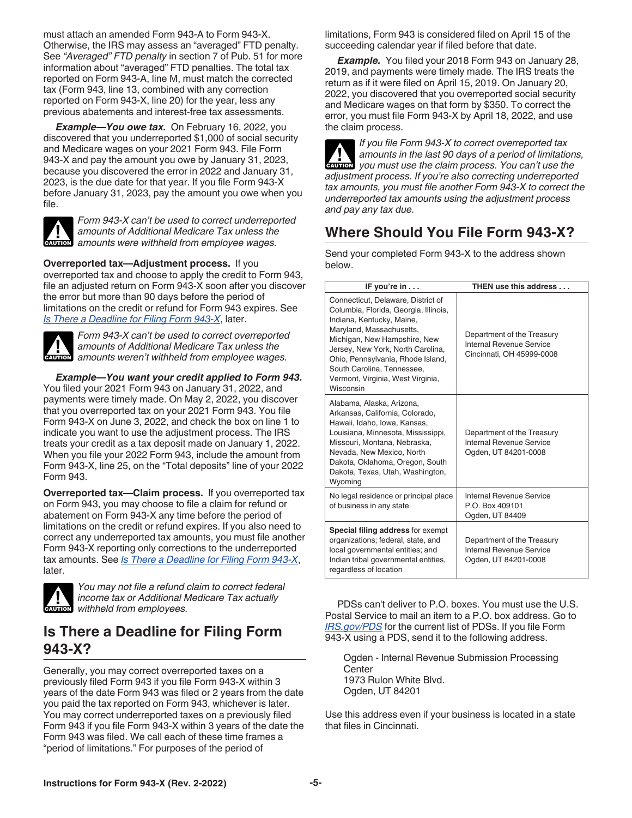<span id="page-4-0"></span>must attach an amended Form 943-A to Form 943-X. Otherwise, the IRS may assess an "averaged" FTD penalty. See *"Averaged" FTD penalty* in section 7 of Pub. 51 for more information about "averaged" FTD penalties. The total tax reported on Form 943-A, line M, must match the corrected tax (Form 943, line 13, combined with any correction reported on Form 943-X, line 20) for the year, less any previous abatements and interest-free tax assessments.

*Example—You owe tax.* On February 16, 2022, you discovered that you underreported \$1,000 of social security and Medicare wages on your 2021 Form 943. File Form 943-X and pay the amount you owe by January 31, 2023, because you discovered the error in 2022 and January 31, 2023, is the due date for that year. If you file Form 943-X before January 31, 2023, pay the amount you owe when you file.



*Form 943-X can't be used to correct underreported amounts of Additional Medicare Tax unless the*  **z** amounts of Additional Medicare Tax unless the amounts were withheld from employee wages.

**Overreported tax—Adjustment process.** If you overreported tax and choose to apply the credit to Form 943, file an adjusted return on Form 943-X soon after you discover the error but more than 90 days before the period of limitations on the credit or refund for Form 943 expires. See *Is There a Deadline for Filing Form 943-X*, later.

*Form 943-X can't be used to correct overreported amounts of Additional Medicare Tax unless the*  **z** amounts of Additional Medicare Tax unless the amounts weren't withheld from employee wages.

*Example—You want your credit applied to Form 943.*  You filed your 2021 Form 943 on January 31, 2022, and payments were timely made. On May 2, 2022, you discover that you overreported tax on your 2021 Form 943. You file Form 943-X on June 3, 2022, and check the box on line 1 to indicate you want to use the adjustment process. The IRS treats your credit as a tax deposit made on January 1, 2022. When you file your 2022 Form 943, include the amount from Form 943-X, line 25, on the "Total deposits" line of your 2022 Form 943.

**Overreported tax—Claim process.** If you overreported tax on Form 943, you may choose to file a claim for refund or abatement on Form 943-X any time before the period of limitations on the credit or refund expires. If you also need to correct any underreported tax amounts, you must file another Form 943-X reporting only corrections to the underreported tax amounts. See *Is There a Deadline for Filing Form 943-X*, later.



*You may not file a refund claim to correct federal income tax or Additional Medicare Tax actually*  **CAUTION** *income tax or Additional N*<br> *withheld from employees.* 

# **Is There a Deadline for Filing Form 943-X?**

Generally, you may correct overreported taxes on a previously filed Form 943 if you file Form 943-X within 3 years of the date Form 943 was filed or 2 years from the date you paid the tax reported on Form 943, whichever is later. You may correct underreported taxes on a previously filed Form 943 if you file Form 943-X within 3 years of the date the Form 943 was filed. We call each of these time frames a "period of limitations." For purposes of the period of

limitations, Form 943 is considered filed on April 15 of the succeeding calendar year if filed before that date.

*Example.* You filed your 2018 Form 943 on January 28, 2019, and payments were timely made. The IRS treats the return as if it were filed on April 15, 2019. On January 20, 2022, you discovered that you overreported social security and Medicare wages on that form by \$350. To correct the error, you must file Form 943-X by April 18, 2022, and use the claim process.

*If you file Form 943-X to correct overreported tax amounts in the last 90 days of a period of limitations,*  **ENTION** you must use the claim process. You can't use the *adjustment process. If you're also correcting underreported tax amounts, you must file another Form 943-X to correct the underreported tax amounts using the adjustment process and pay any tax due.* **!**

# **Where Should You File Form 943-X?**

Send your completed Form 943-X to the address shown below. **IF you're in . . . THEN use this address . . .**

| Connecticut, Delaware, District of<br>Columbia, Florida, Georgia, Illinois,<br>Indiana, Kentucky, Maine,<br>Maryland, Massachusetts,<br>Michigan, New Hampshire, New<br>Jersey, New York, North Carolina,<br>Ohio, Pennsylvania, Rhode Island,<br>South Carolina, Tennessee,<br>Vermont, Virginia, West Virginia,<br>Wisconsin | Department of the Treasury<br>Internal Revenue Service<br>Cincinnati, OH 45999-0008 |
|--------------------------------------------------------------------------------------------------------------------------------------------------------------------------------------------------------------------------------------------------------------------------------------------------------------------------------|-------------------------------------------------------------------------------------|
| Alabama, Alaska, Arizona,<br>Arkansas, California, Colorado,<br>Hawaii, Idaho, Iowa, Kansas,<br>Louisiana, Minnesota, Mississippi,<br>Missouri, Montana, Nebraska,<br>Nevada, New Mexico, North<br>Dakota, Oklahoma, Oregon, South<br>Dakota, Texas, Utah, Washington,<br>Wyoming                                              | Department of the Treasury<br>Internal Revenue Service<br>Ogden, UT 84201-0008      |
| No legal residence or principal place<br>of business in any state                                                                                                                                                                                                                                                              | Internal Revenue Service<br>P.O. Box 409101<br>Ogden, UT 84409                      |
| Special filing address for exempt<br>organizations; federal, state, and<br>local governmental entities; and<br>Indian tribal governmental entities,<br>regardless of location                                                                                                                                                  | Department of the Treasury<br>Internal Revenue Service<br>Ogden, UT 84201-0008      |

PDSs can't deliver to P.O. boxes. You must use the U.S. Postal Service to mail an item to a P.O. box address. Go to *[IRS.gov/PDS](https://www.irs.gov/pds)* for the current list of PDSs. If you file Form 943-X using a PDS, send it to the following address.

Ogden - Internal Revenue Submission Processing **Center** 1973 Rulon White Blvd. Ogden, UT 84201

Use this address even if your business is located in a state that files in Cincinnati.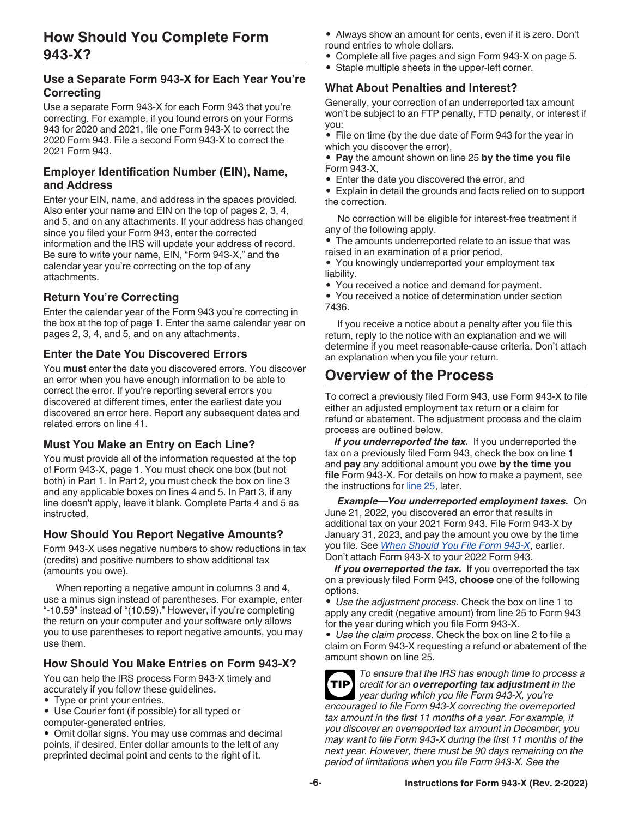### <span id="page-5-0"></span>**Use a Separate Form 943-X for Each Year You're Correcting**

Use a separate Form 943-X for each Form 943 that you're correcting. For example, if you found errors on your Forms 943 for 2020 and 2021, file one Form 943-X to correct the 2020 Form 943. File a second Form 943-X to correct the 2021 Form 943.

### **Employer Identification Number (EIN), Name, and Address**

Enter your EIN, name, and address in the spaces provided. Also enter your name and EIN on the top of pages 2, 3, 4, and 5, and on any attachments. If your address has changed since you filed your Form 943, enter the corrected information and the IRS will update your address of record. Be sure to write your name, EIN, "Form 943-X," and the calendar year you're correcting on the top of any attachments.

# **Return You're Correcting**

Enter the calendar year of the Form 943 you're correcting in the box at the top of page 1. Enter the same calendar year on pages 2, 3, 4, and 5, and on any attachments.

### **Enter the Date You Discovered Errors**

You **must** enter the date you discovered errors. You discover an error when you have enough information to be able to correct the error. If you're reporting several errors you discovered at different times, enter the earliest date you discovered an error here. Report any subsequent dates and related errors on line 41.

### **Must You Make an Entry on Each Line?**

You must provide all of the information requested at the top of Form 943-X, page 1. You must check one box (but not both) in Part 1. In Part 2, you must check the box on line 3 and any applicable boxes on lines 4 and 5. In Part 3, if any line doesn't apply, leave it blank. Complete Parts 4 and 5 as instructed.

### **How Should You Report Negative Amounts?**

Form 943-X uses negative numbers to show reductions in tax (credits) and positive numbers to show additional tax (amounts you owe).

When reporting a negative amount in columns 3 and 4, use a minus sign instead of parentheses. For example, enter "-10.59" instead of "(10.59)." However, if you're completing the return on your computer and your software only allows you to use parentheses to report negative amounts, you may use them.

# **How Should You Make Entries on Form 943-X?**

You can help the IRS process Form 943-X timely and accurately if you follow these guidelines.

• Type or print your entries.

• Use Courier font (if possible) for all typed or computer-generated entries.

• Omit dollar signs. You may use commas and decimal points, if desired. Enter dollar amounts to the left of any preprinted decimal point and cents to the right of it.

- Always show an amount for cents, even if it is zero. Don't round entries to whole dollars.
- Complete all five pages and sign Form 943-X on page 5.
- Staple multiple sheets in the upper-left corner.

### **What About Penalties and Interest?**

Generally, your correction of an underreported tax amount won't be subject to an FTP penalty, FTD penalty, or interest if you:

• File on time (by the due date of Form 943 for the year in which you discover the error),

• **Pay** the amount shown on line 25 **by the time you file**  Form 943-X,

• Enter the date you discovered the error, and

• Explain in detail the grounds and facts relied on to support the correction.

No correction will be eligible for interest-free treatment if any of the following apply.

• The amounts underreported relate to an issue that was raised in an examination of a prior period.

• You knowingly underreported your employment tax liability.

• You received a notice and demand for payment.

• You received a notice of determination under section 7436.

If you receive a notice about a penalty after you file this return, reply to the notice with an explanation and we will determine if you meet reasonable-cause criteria. Don't attach an explanation when you file your return.

# **Overview of the Process**

To correct a previously filed Form 943, use Form 943-X to file either an adjusted employment tax return or a claim for refund or abatement. The adjustment process and the claim process are outlined below.

*If you underreported the tax.* If you underreported the tax on a previously filed Form 943, check the box on line 1 and **pay** any additional amount you owe **by the time you file** Form 943-X. For details on how to make a payment, see the instructions for [line 25,](#page-18-0) later.

*Example—You underreported employment taxes.* On June 21, 2022, you discovered an error that results in additional tax on your 2021 Form 943. File Form 943-X by January 31, 2023, and pay the amount you owe by the time you file. See *[When Should You File Form 943-X](#page-3-0)*, earlier. Don't attach Form 943-X to your 2022 Form 943.

*If you overreported the tax.* If you overreported the tax on a previously filed Form 943, **choose** one of the following options.

• *Use the adjustment process.* Check the box on line 1 to apply any credit (negative amount) from line 25 to Form 943 for the year during which you file Form 943-X.

• *Use the claim process.* Check the box on line 2 to file a claim on Form 943-X requesting a refund or abatement of the amount shown on line 25.

| To ensure that the IRS has enough time to process a           |
|---------------------------------------------------------------|
| $[TIP]$ credit for an overreporting tax adjustment in the     |
| year during which you file Form 943-X, you're                 |
| encouraged to file Form 943-X correcting the overreported     |
| tax amount in the first 11 months of a year. For example, if  |
| you discover an overreported tax amount in December, you      |
| may want to file Form 943-X during the first 11 months of the |
| next year. However, there must be 90 days remaining on the    |
| period of limitations when you file Form 943-X. See the       |
|                                                               |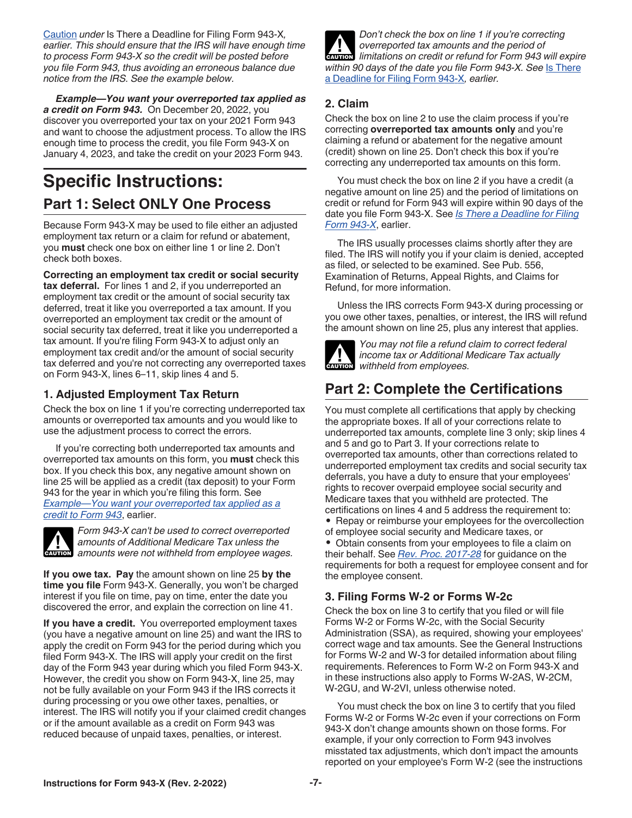<span id="page-6-0"></span>[Caution](#page-4-0) *under* Is There a Deadline for Filing Form 943-X*, earlier. This should ensure that the IRS will have enough time to process Form 943-X so the credit will be posted before you file Form 943, thus avoiding an erroneous balance due notice from the IRS. See the example below.*

*Example—You want your overreported tax applied as a credit on Form 943.* On December 20, 2022, you discover you overreported your tax on your 2021 Form 943 and want to choose the adjustment process. To allow the IRS enough time to process the credit, you file Form 943-X on January 4, 2023, and take the credit on your 2023 Form 943.

# **Specific Instructions: Part 1: Select ONLY One Process**

Because Form 943-X may be used to file either an adjusted employment tax return or a claim for refund or abatement, you **must** check one box on either line 1 or line 2. Don't check both boxes.

**Correcting an employment tax credit or social security** 

**tax deferral.** For lines 1 and 2, if you underreported an employment tax credit or the amount of social security tax deferred, treat it like you overreported a tax amount. If you overreported an employment tax credit or the amount of social security tax deferred, treat it like you underreported a tax amount. If you're filing Form 943-X to adjust only an employment tax credit and/or the amount of social security tax deferred and you're not correcting any overreported taxes on Form 943-X, lines 6–11, skip lines 4 and 5.

### **1. Adjusted Employment Tax Return**

Check the box on line 1 if you're correcting underreported tax amounts or overreported tax amounts and you would like to use the adjustment process to correct the errors.

If you're correcting both underreported tax amounts and overreported tax amounts on this form, you **must** check this box. If you check this box, any negative amount shown on line 25 will be applied as a credit (tax deposit) to your Form 943 for the year in which you're filing this form. See *Example—You want your overreported tax applied as a credit to Form 943*, earlier.



*Form 943-X can't be used to correct overreported amounts of Additional Medicare Tax unless the*  **z** amounts of Additional Medicare Tax unless the amounts were not withheld from employee wages.

**If you owe tax. Pay** the amount shown on line 25 **by the time you file** Form 943-X. Generally, you won't be charged interest if you file on time, pay on time, enter the date you discovered the error, and explain the correction on line 41.

**If you have a credit.** You overreported employment taxes (you have a negative amount on line 25) and want the IRS to apply the credit on Form 943 for the period during which you filed Form 943-X. The IRS will apply your credit on the first day of the Form 943 year during which you filed Form 943-X. However, the credit you show on Form 943-X, line 25, may not be fully available on your Form 943 if the IRS corrects it during processing or you owe other taxes, penalties, or interest. The IRS will notify you if your claimed credit changes or if the amount available as a credit on Form 943 was reduced because of unpaid taxes, penalties, or interest.

*Don't check the box on line 1 if you're correcting overreported tax amounts and the period of*  **limitations on credit or refund for Form 943 will expire <b>CAUTION** *within 90 days of the date you file Form 943-X. See* [Is There](#page-4-0) [a Deadline for Filing Form 943-X](#page-4-0)*, earlier.*

### **2. Claim**

Check the box on line 2 to use the claim process if you're correcting **overreported tax amounts only** and you're claiming a refund or abatement for the negative amount (credit) shown on line 25. Don't check this box if you're correcting any underreported tax amounts on this form.

You must check the box on line 2 if you have a credit (a negative amount on line 25) and the period of limitations on credit or refund for Form 943 will expire within 90 days of the date you file Form 943-X. See *[Is There a Deadline for Filing](#page-4-0) [Form 943-X](#page-4-0)*, earlier.

The IRS usually processes claims shortly after they are filed. The IRS will notify you if your claim is denied, accepted as filed, or selected to be examined. See Pub. 556, Examination of Returns, Appeal Rights, and Claims for Refund, for more information.

Unless the IRS corrects Form 943-X during processing or you owe other taxes, penalties, or interest, the IRS will refund the amount shown on line 25, plus any interest that applies.



*You may not file a refund claim to correct federal income tax or Additional Medicare Tax actually*  **CAUTION** *income tax or Additional N*<br> *withheld from employees.* 

# **Part 2: Complete the Certifications**

You must complete all certifications that apply by checking the appropriate boxes. If all of your corrections relate to underreported tax amounts, complete line 3 only; skip lines 4 and 5 and go to Part 3. If your corrections relate to overreported tax amounts, other than corrections related to underreported employment tax credits and social security tax deferrals, you have a duty to ensure that your employees' rights to recover overpaid employee social security and Medicare taxes that you withheld are protected. The certifications on lines 4 and 5 address the requirement to: • Repay or reimburse your employees for the overcollection of employee social security and Medicare taxes, or • Obtain consents from your employees to file a claim on their behalf. See *[Rev. Proc. 2017-28](https://www.irs.gov/irb/2017-14_IRB#RP-2017-28)* for guidance on the requirements for both a request for employee consent and for the employee consent.

### **3. Filing Forms W-2 or Forms W-2c**

Check the box on line 3 to certify that you filed or will file Forms W-2 or Forms W-2c, with the Social Security Administration (SSA), as required, showing your employees' correct wage and tax amounts. See the General Instructions for Forms W-2 and W-3 for detailed information about filing requirements. References to Form W-2 on Form 943-X and in these instructions also apply to Forms W-2AS, W-2CM, W-2GU, and W-2VI, unless otherwise noted.

You must check the box on line 3 to certify that you filed Forms W-2 or Forms W-2c even if your corrections on Form 943-X don't change amounts shown on those forms. For example, if your only correction to Form 943 involves misstated tax adjustments, which don't impact the amounts reported on your employee's Form W-2 (see the instructions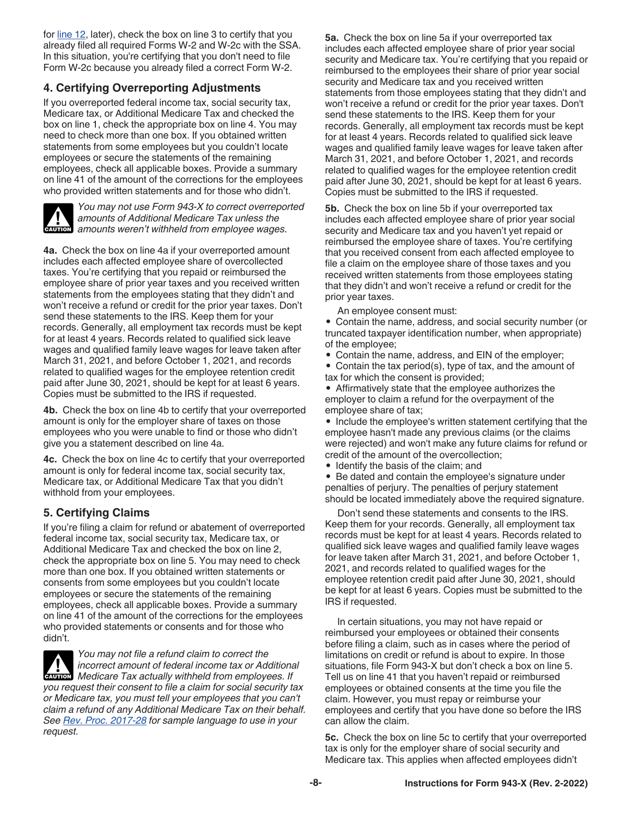for [line 12,](#page-12-0) later), check the box on line 3 to certify that you already filed all required Forms W-2 and W-2c with the SSA. In this situation, you're certifying that you don't need to file Form W-2c because you already filed a correct Form W-2.

### **4. Certifying Overreporting Adjustments**

If you overreported federal income tax, social security tax, Medicare tax, or Additional Medicare Tax and checked the box on line 1, check the appropriate box on line 4. You may need to check more than one box. If you obtained written statements from some employees but you couldn't locate employees or secure the statements of the remaining employees, check all applicable boxes. Provide a summary on line 41 of the amount of the corrections for the employees who provided written statements and for those who didn't.



*You may not use Form 943-X to correct overreported amounts of Additional Medicare Tax unless the*  **z** amounts of Additional Medicare Tax unless the amounts weren't withheld from employee wages.

**4a.** Check the box on line 4a if your overreported amount includes each affected employee share of overcollected taxes. You're certifying that you repaid or reimbursed the employee share of prior year taxes and you received written statements from the employees stating that they didn't and won't receive a refund or credit for the prior year taxes. Don't send these statements to the IRS. Keep them for your records. Generally, all employment tax records must be kept for at least 4 years. Records related to qualified sick leave wages and qualified family leave wages for leave taken after March 31, 2021, and before October 1, 2021, and records related to qualified wages for the employee retention credit paid after June 30, 2021, should be kept for at least 6 years. Copies must be submitted to the IRS if requested.

**4b.** Check the box on line 4b to certify that your overreported amount is only for the employer share of taxes on those employees who you were unable to find or those who didn't give you a statement described on line 4a.

**4c.** Check the box on line 4c to certify that your overreported amount is only for federal income tax, social security tax, Medicare tax, or Additional Medicare Tax that you didn't withhold from your employees.

### **5. Certifying Claims**

If you're filing a claim for refund or abatement of overreported federal income tax, social security tax, Medicare tax, or Additional Medicare Tax and checked the box on line 2, check the appropriate box on line 5. You may need to check more than one box. If you obtained written statements or consents from some employees but you couldn't locate employees or secure the statements of the remaining employees, check all applicable boxes. Provide a summary on line 41 of the amount of the corrections for the employees who provided statements or consents and for those who didn't.

*You may not file a refund claim to correct the incorrect amount of federal income tax or Additional Medicare Tax actually withheld from employees. If*  $\blacksquare$ *you request their consent to file a claim for social security tax or Medicare tax, you must tell your employees that you can't claim a refund of any Additional Medicare Tax on their behalf. See [Rev. Proc. 2017-28](https://www.irs.gov/irb/2017-14_IRB#RP-2017-28) for sample language to use in your request.*

**5a.** Check the box on line 5a if your overreported tax includes each affected employee share of prior year social security and Medicare tax. You're certifying that you repaid or reimbursed to the employees their share of prior year social security and Medicare tax and you received written statements from those employees stating that they didn't and won't receive a refund or credit for the prior year taxes. Don't send these statements to the IRS. Keep them for your records. Generally, all employment tax records must be kept for at least 4 years. Records related to qualified sick leave wages and qualified family leave wages for leave taken after March 31, 2021, and before October 1, 2021, and records related to qualified wages for the employee retention credit paid after June 30, 2021, should be kept for at least 6 years. Copies must be submitted to the IRS if requested.

**5b.** Check the box on line 5b if your overreported tax includes each affected employee share of prior year social security and Medicare tax and you haven't yet repaid or reimbursed the employee share of taxes. You're certifying that you received consent from each affected employee to file a claim on the employee share of those taxes and you received written statements from those employees stating that they didn't and won't receive a refund or credit for the prior year taxes.

An employee consent must:

• Contain the name, address, and social security number (or truncated taxpayer identification number, when appropriate) of the employee;

• Contain the name, address, and EIN of the employer;

• Contain the tax period(s), type of tax, and the amount of tax for which the consent is provided;

• Affirmatively state that the employee authorizes the employer to claim a refund for the overpayment of the employee share of tax;

• Include the employee's written statement certifying that the employee hasn't made any previous claims (or the claims were rejected) and won't make any future claims for refund or credit of the amount of the overcollection;

• Identify the basis of the claim; and

• Be dated and contain the employee's signature under penalties of perjury. The penalties of perjury statement should be located immediately above the required signature.

Don't send these statements and consents to the IRS. Keep them for your records. Generally, all employment tax records must be kept for at least 4 years. Records related to qualified sick leave wages and qualified family leave wages for leave taken after March 31, 2021, and before October 1, 2021, and records related to qualified wages for the employee retention credit paid after June 30, 2021, should be kept for at least 6 years. Copies must be submitted to the IRS if requested.

In certain situations, you may not have repaid or reimbursed your employees or obtained their consents before filing a claim, such as in cases where the period of limitations on credit or refund is about to expire. In those situations, file Form 943-X but don't check a box on line 5. Tell us on line 41 that you haven't repaid or reimbursed employees or obtained consents at the time you file the claim. However, you must repay or reimburse your employees and certify that you have done so before the IRS can allow the claim.

**5c.** Check the box on line 5c to certify that your overreported tax is only for the employer share of social security and Medicare tax. This applies when affected employees didn't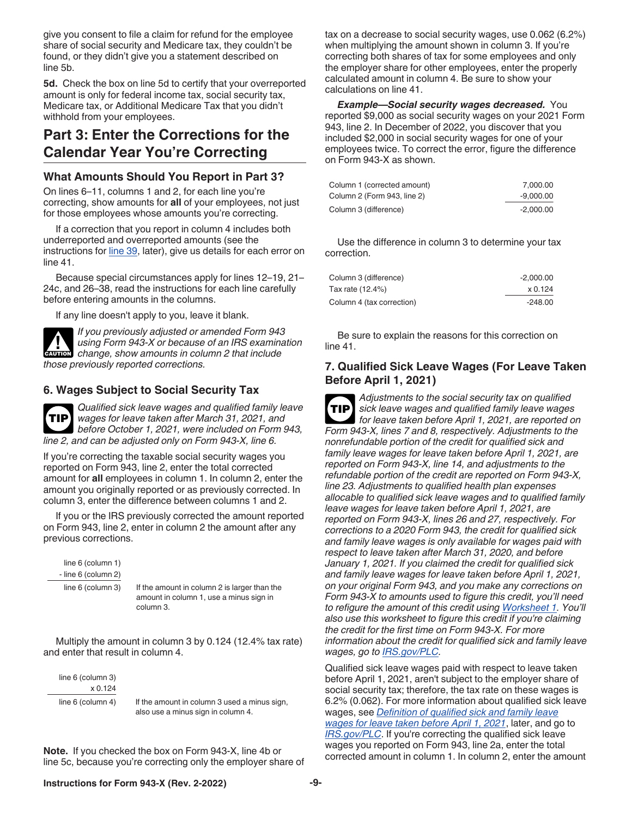<span id="page-8-0"></span>give you consent to file a claim for refund for the employee share of social security and Medicare tax, they couldn't be found, or they didn't give you a statement described on line 5b.

**5d.** Check the box on line 5d to certify that your overreported amount is only for federal income tax, social security tax, Medicare tax, or Additional Medicare Tax that you didn't withhold from your employees.

# **Part 3: Enter the Corrections for the Calendar Year You're Correcting**

#### **What Amounts Should You Report in Part 3?**

On lines 6–11, columns 1 and 2, for each line you're correcting, show amounts for **all** of your employees, not just for those employees whose amounts you're correcting.

If a correction that you report in column 4 includes both underreported and overreported amounts (see the instructions for [line 39](#page-20-0), later), give us details for each error on line 41.

Because special circumstances apply for lines 12–19, 21– 24c, and 26–38, read the instructions for each line carefully before entering amounts in the columns.

If any line doesn't apply to you, leave it blank.

*If you previously adjusted or amended Form 943 using Form 943-X or because of an IRS examination change, show amounts in column 2 that include those previously reported corrections.* **CAUTION !**

### **6. Wages Subject to Social Security Tax**

*Qualified sick leave wages and qualified family leave wages for leave taken after March 31, 2021, and before October 1, 2021, were included on Form 943, line 2, and can be adjusted only on Form 943-X, line 6.* **TIP**

If you're correcting the taxable social security wages you reported on Form 943, line 2, enter the total corrected amount for **all** employees in column 1. In column 2, enter the amount you originally reported or as previously corrected. In column 3, enter the difference between columns 1 and 2.

If you or the IRS previously corrected the amount reported on Form 943, line 2, enter in column 2 the amount after any previous corrections.

 line 6 (column 1) - line 6 (column 2)

line 6 (column 3) If the amount in column 2 is larger than the amount in column 1, use a minus sign in column 3.

Multiply the amount in column 3 by 0.124 (12.4% tax rate) and enter that result in column 4.

line 6 (column 3) x 0.124

line 6 (column 4) If the amount in column 3 used a minus sign, also use a minus sign in column 4.

**Note.** If you checked the box on Form 943-X, line 4b or line 5c, because you're correcting only the employer share of tax on a decrease to social security wages, use 0.062 (6.2%) when multiplying the amount shown in column 3. If you're correcting both shares of tax for some employees and only the employer share for other employees, enter the properly calculated amount in column 4. Be sure to show your calculations on line 41.

*Example—Social security wages decreased.* You reported \$9,000 as social security wages on your 2021 Form 943, line 2. In December of 2022, you discover that you included \$2,000 in social security wages for one of your employees twice. To correct the error, figure the difference on Form 943-X as shown.

| Column 1 (corrected amount) | 7.000.00  |
|-----------------------------|-----------|
| Column 2 (Form 943, line 2) | -9.000.00 |
| Column 3 (difference)       | -2.000.00 |

Use the difference in column 3 to determine your tax correction.

| Column 3 (difference)     | $-2.000.00$ |
|---------------------------|-------------|
| Tax rate (12.4%)          | x 0.124     |
| Column 4 (tax correction) | $-248.00$   |

Be sure to explain the reasons for this correction on line 41.

#### **7. Qualified Sick Leave Wages (For Leave Taken Before April 1, 2021)**

*Adjustments to the social security tax on qualified sick leave wages and qualified family leave wages for leave taken before April 1, 2021, are reported on Form 943-X, lines 7 and 8, respectively. Adjustments to the nonrefundable portion of the credit for qualified sick and family leave wages for leave taken before April 1, 2021, are reported on Form 943-X, line 14, and adjustments to the refundable portion of the credit are reported on Form 943-X, line 23. Adjustments to qualified health plan expenses allocable to qualified sick leave wages and to qualified family leave wages for leave taken before April 1, 2021, are reported on Form 943-X, lines 26 and 27, respectively. For corrections to a 2020 Form 943, the credit for qualified sick and family leave wages is only available for wages paid with respect to leave taken after March 31, 2020, and before January 1, 2021. If you claimed the credit for qualified sick and family leave wages for leave taken before April 1, 2021, on your original Form 943, and you make any corrections on Form 943-X to amounts used to figure this credit, you'll need to refigure the amount of this credit using [Worksheet 1.](#page-22-0) You'll also use this worksheet to figure this credit if you're claiming the credit for the first time on Form 943-X. For more information about the credit for qualified sick and family leave wages, go to [IRS.gov/PLC](https://www.irs.gov/plc).* **TIP**

Qualified sick leave wages paid with respect to leave taken before April 1, 2021, aren't subject to the employer share of social security tax; therefore, the tax rate on these wages is 6.2% (0.062). For more information about qualified sick leave wages, see *[Definition of qualified sick and family leave](#page-13-0) [wages for leave taken before April 1, 2021](#page-13-0)*, later, and go to *[IRS.gov/PLC](https://www.irs.gov/plc)*. If you're correcting the qualified sick leave wages you reported on Form 943, line 2a, enter the total corrected amount in column 1. In column 2, enter the amount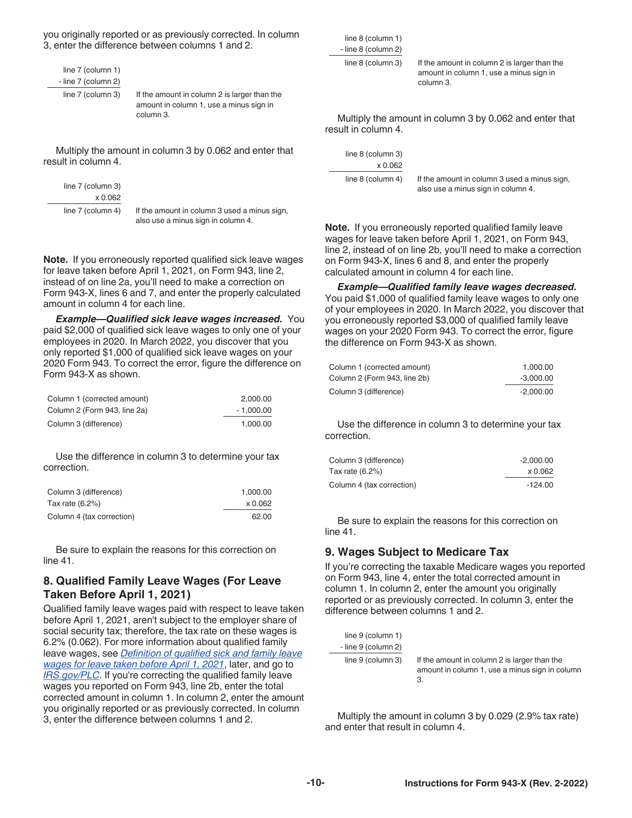you originally reported or as previously corrected. In column 3, enter the difference between columns 1 and 2.

| line 7 (column 1)   |
|---------------------|
| - line 7 (column 2) |
| line 7 (column 3)   |

If the amount in column 2 is larger than the amount in column 1, use a minus sign in column 3.

Multiply the amount in column 3 by 0.062 and enter that result in column 4.

|             | line 7 (column 3) |  |
|-------------|-------------------|--|
|             | x 0.062           |  |
| lf t<br>ءاه | line 7 (column 4) |  |

the amount in column 3 used a minus sign, also use a minus sign in column 4.

**Note.** If you erroneously reported qualified sick leave wages for leave taken before April 1, 2021, on Form 943, line 2, instead of on line 2a, you'll need to make a correction on Form 943-X, lines 6 and 7, and enter the properly calculated amount in column 4 for each line.

*Example—Qualified sick leave wages increased.* You paid \$2,000 of qualified sick leave wages to only one of your employees in 2020. In March 2022, you discover that you only reported \$1,000 of qualified sick leave wages on your 2020 Form 943. To correct the error, figure the difference on Form 943-X as shown.

| Column 1 (corrected amount)  | 2.000.00    |
|------------------------------|-------------|
| Column 2 (Form 943, line 2a) | $-1.000.00$ |
| Column 3 (difference)        | 1.000.00    |

Use the difference in column 3 to determine your tax correction.

| Column 3 (difference)     | 1.000.00 |
|---------------------------|----------|
| Tax rate $(6.2%)$         | x 0.062  |
| Column 4 (tax correction) | 62.00    |

Be sure to explain the reasons for this correction on line 41.

#### **8. Qualified Family Leave Wages (For Leave Taken Before April 1, 2021)**

Qualified family leave wages paid with respect to leave taken before April 1, 2021, aren't subject to the employer share of social security tax; therefore, the tax rate on these wages is 6.2% (0.062). For more information about qualified family leave wages, see *[Definition of qualified sick and family leave](#page-13-0) [wages for leave taken before April 1, 2021](#page-13-0)*, later, and go to **[IRS.gov/PLC](https://www.irs.gov/plc)**. If you're correcting the qualified family leave wages you reported on Form 943, line 2b, enter the total corrected amount in column 1. In column 2, enter the amount you originally reported or as previously corrected. In column 3, enter the difference between columns 1 and 2.

 line 8 (column 1) - line 8 (column 2)

line 8 (column 3) If the amount in column 2 is larger than the amount in column 1, use a minus sign in column 3.

Multiply the amount in column 3 by 0.062 and enter that result in column 4.

| line 8 (column 3) |  |
|-------------------|--|
| x 0.062           |  |
| line 8 (column 4) |  |

If the amount in column 3 used a minus sign, also use a minus sign in column 4.

**Note.** If you erroneously reported qualified family leave wages for leave taken before April 1, 2021, on Form 943, line 2, instead of on line 2b, you'll need to make a correction on Form 943-X, lines 6 and 8, and enter the properly calculated amount in column 4 for each line.

*Example—Qualified family leave wages decreased.*  You paid \$1,000 of qualified family leave wages to only one of your employees in 2020. In March 2022, you discover that you erroneously reported \$3,000 of qualified family leave wages on your 2020 Form 943. To correct the error, figure the difference on Form 943-X as shown.

| Column 1 (corrected amount)  | 1.000.00    |
|------------------------------|-------------|
| Column 2 (Form 943, line 2b) | $-3,000.00$ |
| Column 3 (difference)        | $-2,000.00$ |

Use the difference in column 3 to determine your tax correction.

| Column 3 (difference)     | $-2.000.00$ |
|---------------------------|-------------|
| Tax rate (6.2%)           | x 0.062     |
| Column 4 (tax correction) | $-124.00$   |

Be sure to explain the reasons for this correction on line 41.

#### **9. Wages Subject to Medicare Tax**

If you're correcting the taxable Medicare wages you reported on Form 943, line 4, enter the total corrected amount in column 1. In column 2, enter the amount you originally reported or as previously corrected. In column 3, enter the difference between columns 1 and 2.

| line 9 (column 1)   |                                                                                                      |
|---------------------|------------------------------------------------------------------------------------------------------|
| - line 9 (column 2) |                                                                                                      |
| line 9 (column 3)   | If the amount in column 2 is larger than the<br>amount in column 1, use a minus sign in column<br>З. |

Multiply the amount in column 3 by 0.029 (2.9% tax rate) and enter that result in column 4.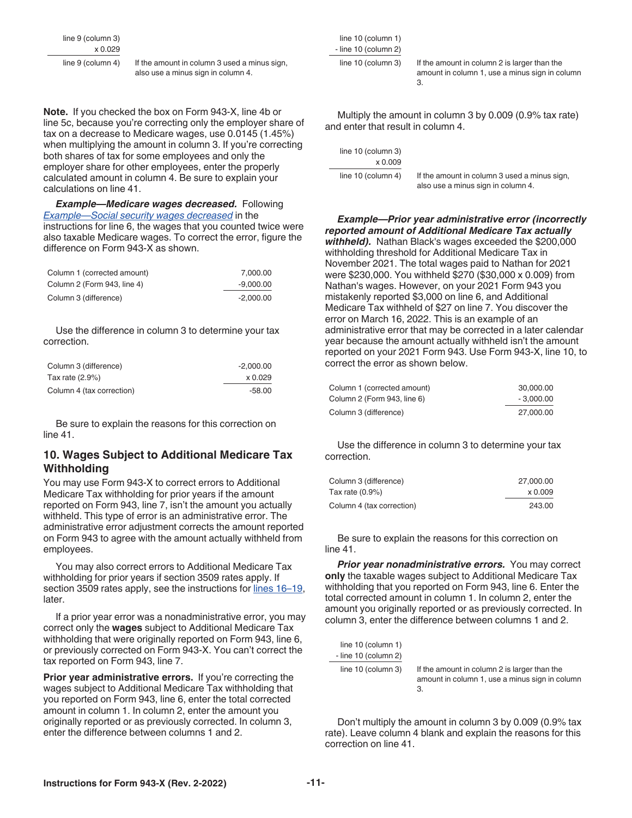<span id="page-10-0"></span>line 9 (column 3) x 0.029

| line 9 (column 4) | If the amount in column 3 used a minus sign, |
|-------------------|----------------------------------------------|
|                   | also use a minus sign in column 4.           |

**Note.** If you checked the box on Form 943-X, line 4b or line 5c, because you're correcting only the employer share of tax on a decrease to Medicare wages, use 0.0145 (1.45%) when multiplying the amount in column 3. If you're correcting both shares of tax for some employees and only the employer share for other employees, enter the properly calculated amount in column 4. Be sure to explain your calculations on line 41.

*Example—Medicare wages decreased.* Following *[Example—Social security wages decreased](#page-8-0)* in the instructions for line 6, the wages that you counted twice were also taxable Medicare wages. To correct the error, figure the difference on Form 943-X as shown.

| Column 1 (corrected amount) | 7.000.00    |
|-----------------------------|-------------|
| Column 2 (Form 943, line 4) | $-9.000.00$ |
| Column 3 (difference)       | $-2.000.00$ |

Use the difference in column 3 to determine your tax correction.

| Column 3 (difference)     | $-2.000.00$ |
|---------------------------|-------------|
| Tax rate $(2.9\%)$        | x 0.029     |
| Column 4 (tax correction) | $-58.00$    |

Be sure to explain the reasons for this correction on line 41.

#### **10. Wages Subject to Additional Medicare Tax Withholding**

You may use Form 943-X to correct errors to Additional Medicare Tax withholding for prior years if the amount reported on Form 943, line 7, isn't the amount you actually withheld. This type of error is an administrative error. The administrative error adjustment corrects the amount reported on Form 943 to agree with the amount actually withheld from employees.

You may also correct errors to Additional Medicare Tax withholding for prior years if section 3509 rates apply. If section 3509 rates apply, see the instructions for [lines 16–19](#page-15-0), later.

If a prior year error was a nonadministrative error, you may correct only the **wages** subject to Additional Medicare Tax withholding that were originally reported on Form 943, line 6, or previously corrected on Form 943-X. You can't correct the tax reported on Form 943, line 7.

Prior year administrative errors. If you're correcting the wages subject to Additional Medicare Tax withholding that you reported on Form 943, line 6, enter the total corrected amount in column 1. In column 2, enter the amount you originally reported or as previously corrected. In column 3, enter the difference between columns 1 and 2.

 line 10 (column 1) - line 10 (column 2)

line 10 (column 3) If the amount in column 2 is larger than the amount in column 1, use a minus sign in column 3.

Multiply the amount in column 3 by 0.009 (0.9% tax rate) and enter that result in column 4.

| If the amount in column 3 used a minus sign,<br>also use a minus sign in column 4. |
|------------------------------------------------------------------------------------|
|                                                                                    |

*Example—Prior year administrative error (incorrectly reported amount of Additional Medicare Tax actually withheld).* Nathan Black's wages exceeded the \$200,000 withholding threshold for Additional Medicare Tax in November 2021. The total wages paid to Nathan for 2021 were \$230,000. You withheld \$270 (\$30,000 x 0.009) from Nathan's wages. However, on your 2021 Form 943 you mistakenly reported \$3,000 on line 6, and Additional Medicare Tax withheld of \$27 on line 7. You discover the error on March 16, 2022. This is an example of an administrative error that may be corrected in a later calendar year because the amount actually withheld isn't the amount reported on your 2021 Form 943. Use Form 943-X, line 10, to correct the error as shown below.

| Column 1 (corrected amount) | 30,000,00   |
|-----------------------------|-------------|
| Column 2 (Form 943, line 6) | $-3.000.00$ |
| Column 3 (difference)       | 27,000.00   |

Use the difference in column 3 to determine your tax correction.

| Column 3 (difference)     | 27,000.00 |
|---------------------------|-----------|
| Tax rate $(0.9\%)$        | x 0.009   |
| Column 4 (tax correction) | 243.00    |

Be sure to explain the reasons for this correction on line 41.

*Prior year nonadministrative errors.* You may correct **only** the taxable wages subject to Additional Medicare Tax withholding that you reported on Form 943, line 6. Enter the total corrected amount in column 1. In column 2, enter the amount you originally reported or as previously corrected. In column 3, enter the difference between columns 1 and 2.

| line 10 (column 1)   |                                                                                                      |
|----------------------|------------------------------------------------------------------------------------------------------|
| - line 10 (column 2) |                                                                                                      |
| line 10 (column 3)   | If the amount in column 2 is larger than the<br>amount in column 1, use a minus sign in column<br>З. |

Don't multiply the amount in column 3 by 0.009 (0.9% tax rate). Leave column 4 blank and explain the reasons for this correction on line 41.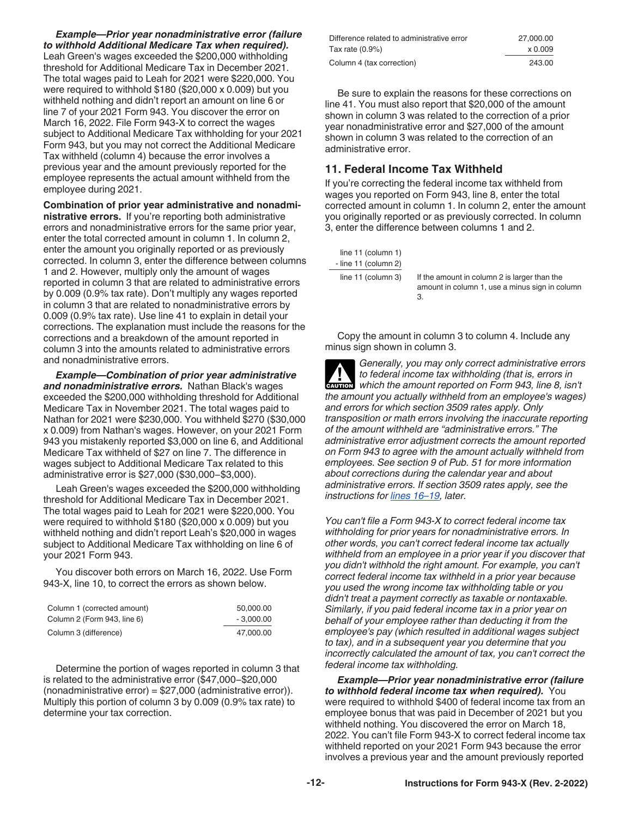*Example—Prior year nonadministrative error (failure to withhold Additional Medicare Tax when required).*  Leah Green's wages exceeded the \$200,000 withholding threshold for Additional Medicare Tax in December 2021. The total wages paid to Leah for 2021 were \$220,000. You were required to withhold \$180 (\$20,000 x 0.009) but you withheld nothing and didn't report an amount on line 6 or line 7 of your 2021 Form 943. You discover the error on March 16, 2022. File Form 943-X to correct the wages subject to Additional Medicare Tax withholding for your 2021 Form 943, but you may not correct the Additional Medicare Tax withheld (column 4) because the error involves a previous year and the amount previously reported for the employee represents the actual amount withheld from the employee during 2021.

**Combination of prior year administrative and nonadministrative errors.** If you're reporting both administrative errors and nonadministrative errors for the same prior year, enter the total corrected amount in column 1. In column 2, enter the amount you originally reported or as previously corrected. In column 3, enter the difference between columns 1 and 2. However, multiply only the amount of wages reported in column 3 that are related to administrative errors by 0.009 (0.9% tax rate). Don't multiply any wages reported in column 3 that are related to nonadministrative errors by 0.009 (0.9% tax rate). Use line 41 to explain in detail your corrections. The explanation must include the reasons for the corrections and a breakdown of the amount reported in column 3 into the amounts related to administrative errors and nonadministrative errors.

*Example—Combination of prior year administrative and nonadministrative errors.* Nathan Black's wages exceeded the \$200,000 withholding threshold for Additional Medicare Tax in November 2021. The total wages paid to Nathan for 2021 were \$230,000. You withheld \$270 (\$30,000 x 0.009) from Nathan's wages. However, on your 2021 Form 943 you mistakenly reported \$3,000 on line 6, and Additional Medicare Tax withheld of \$27 on line 7. The difference in wages subject to Additional Medicare Tax related to this administrative error is \$27,000 (\$30,000−\$3,000).

Leah Green's wages exceeded the \$200,000 withholding threshold for Additional Medicare Tax in December 2021. The total wages paid to Leah for 2021 were \$220,000. You were required to withhold \$180 (\$20,000 x 0.009) but you withheld nothing and didn't report Leah's \$20,000 in wages subject to Additional Medicare Tax withholding on line 6 of your 2021 Form 943.

You discover both errors on March 16, 2022. Use Form 943-X, line 10, to correct the errors as shown below.

| Column 1 (corrected amount) | 50,000,00   |
|-----------------------------|-------------|
| Column 2 (Form 943, line 6) | $-3.000.00$ |
| Column 3 (difference)       | 47.000.00   |

Determine the portion of wages reported in column 3 that is related to the administrative error (\$47,000−\$20,000 (nonadministrative error) = \$27,000 (administrative error)). Multiply this portion of column 3 by 0.009 (0.9% tax rate) to determine your tax correction.

| Difference related to administrative error | 27,000,00 |
|--------------------------------------------|-----------|
| Tax rate (0.9%)                            | x 0.009   |
| Column 4 (tax correction)                  | 243.00    |

Be sure to explain the reasons for these corrections on line 41. You must also report that \$20,000 of the amount shown in column 3 was related to the correction of a prior year nonadministrative error and \$27,000 of the amount shown in column 3 was related to the correction of an administrative error.

### **11. Federal Income Tax Withheld**

If you're correcting the federal income tax withheld from wages you reported on Form 943, line 8, enter the total corrected amount in column 1. In column 2, enter the amount you originally reported or as previously corrected. In column 3, enter the difference between columns 1 and 2.

| line 11 (column 1)   |
|----------------------|
| - line 11 (column 2) |
| line 11 (column 3)   |

If the amount in column 2 is larger than the amount in column 1, use a minus sign in column 3.

Copy the amount in column 3 to column 4. Include any minus sign shown in column 3.

*Generally, you may only correct administrative errors to federal income tax withholding (that is, errors in which the amount reported on Form 943, line 8, isn't the amount you actually withheld from an employee's wages) and errors for which section 3509 rates apply. Only transposition or math errors involving the inaccurate reporting of the amount withheld are "administrative errors." The administrative error adjustment corrects the amount reported on Form 943 to agree with the amount actually withheld from employees. See section 9 of Pub. 51 for more information about corrections during the calendar year and about administrative errors. If section 3509 rates apply, see the instructions for [lines 16–19](#page-15-0), later.* **A**<br>CAUTION

*You can't file a Form 943-X to correct federal income tax withholding for prior years for nonadministrative errors. In other words, you can't correct federal income tax actually withheld from an employee in a prior year if you discover that you didn't withhold the right amount. For example, you can't correct federal income tax withheld in a prior year because you used the wrong income tax withholding table or you didn't treat a payment correctly as taxable or nontaxable. Similarly, if you paid federal income tax in a prior year on behalf of your employee rather than deducting it from the employee's pay (which resulted in additional wages subject to tax), and in a subsequent year you determine that you incorrectly calculated the amount of tax, you can't correct the federal income tax withholding.*

*Example—Prior year nonadministrative error (failure to withhold federal income tax when required).* You were required to withhold \$400 of federal income tax from an employee bonus that was paid in December of 2021 but you withheld nothing. You discovered the error on March 18, 2022. You can't file Form 943-X to correct federal income tax withheld reported on your 2021 Form 943 because the error involves a previous year and the amount previously reported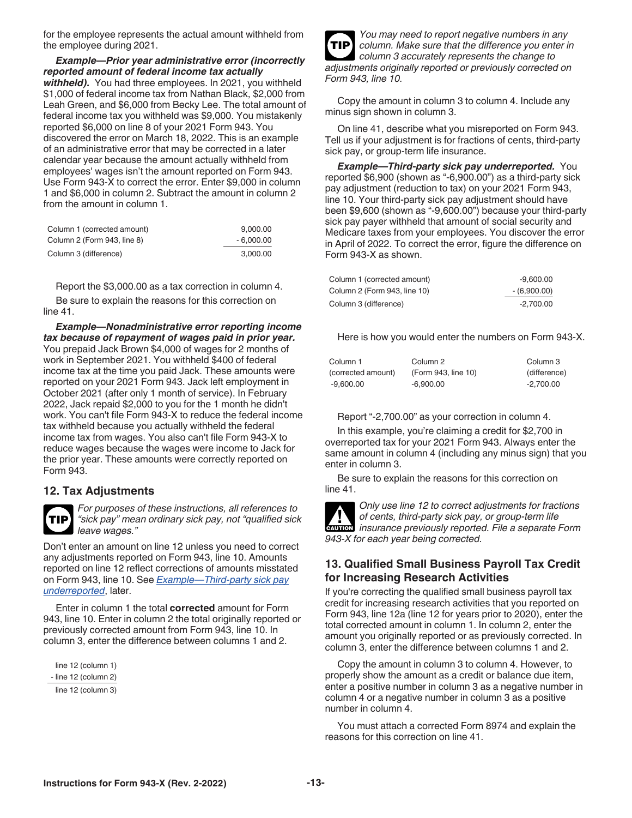<span id="page-12-0"></span>for the employee represents the actual amount withheld from the employee during 2021.

*Example—Prior year administrative error (incorrectly reported amount of federal income tax actually withheld).* You had three employees. In 2021, you withheld \$1,000 of federal income tax from Nathan Black, \$2,000 from Leah Green, and \$6,000 from Becky Lee. The total amount of federal income tax you withheld was \$9,000. You mistakenly reported \$6,000 on line 8 of your 2021 Form 943. You discovered the error on March 18, 2022. This is an example of an administrative error that may be corrected in a later calendar year because the amount actually withheld from employees' wages isn't the amount reported on Form 943. Use Form 943-X to correct the error. Enter \$9,000 in column 1 and \$6,000 in column 2. Subtract the amount in column 2 from the amount in column 1.

| Column 1 (corrected amount) | 9.000.00    |
|-----------------------------|-------------|
| Column 2 (Form 943, line 8) | $-6.000.00$ |
| Column 3 (difference)       | 3.000.00    |

Report the \$3,000.00 as a tax correction in column 4.

Be sure to explain the reasons for this correction on line 41.

*Example—Nonadministrative error reporting income tax because of repayment of wages paid in prior year.*  You prepaid Jack Brown \$4,000 of wages for 2 months of work in September 2021. You withheld \$400 of federal income tax at the time you paid Jack. These amounts were reported on your 2021 Form 943. Jack left employment in October 2021 (after only 1 month of service). In February 2022, Jack repaid \$2,000 to you for the 1 month he didn't work. You can't file Form 943-X to reduce the federal income tax withheld because you actually withheld the federal income tax from wages. You also can't file Form 943-X to reduce wages because the wages were income to Jack for the prior year. These amounts were correctly reported on Form 943.

#### **12. Tax Adjustments**

*For purposes of these instructions, all references to "sick pay" mean ordinary sick pay, not "qualified sick leave wages."* **TIP**

Don't enter an amount on line 12 unless you need to correct any adjustments reported on Form 943, line 10. Amounts reported on line 12 reflect corrections of amounts misstated on Form 943, line 10. See *Example—Third-party sick pay underreported*, later.

Enter in column 1 the total **corrected** amount for Form 943, line 10. Enter in column 2 the total originally reported or previously corrected amount from Form 943, line 10. In column 3, enter the difference between columns 1 and 2.

 line 12 (column 1) - line 12 (column 2) line 12 (column 3)



Copy the amount in column 3 to column 4. Include any minus sign shown in column 3.

On line 41, describe what you misreported on Form 943. Tell us if your adjustment is for fractions of cents, third-party sick pay, or group-term life insurance.

*Example—Third-party sick pay underreported.* You reported \$6,900 (shown as "-6,900.00") as a third-party sick pay adjustment (reduction to tax) on your 2021 Form 943, line 10. Your third-party sick pay adjustment should have been \$9,600 (shown as "-9,600.00") because your third-party sick pay payer withheld that amount of social security and Medicare taxes from your employees. You discover the error in April of 2022. To correct the error, figure the difference on Form 943-X as shown.

| Column 1 (corrected amount)  | $-9,600.00$   |
|------------------------------|---------------|
| Column 2 (Form 943, line 10) | $-(6,900.00)$ |
| Column 3 (difference)        | -2.700.00     |

Here is how you would enter the numbers on Form 943-X.

| Column 1           | Column 2            | Column 3     |
|--------------------|---------------------|--------------|
| (corrected amount) | (Form 943, line 10) | (difference) |
| -9.600.00          | $-6.900.00$         | $-2.700.00$  |

Report "-2,700.00" as your correction in column 4.

In this example, you're claiming a credit for \$2,700 in overreported tax for your 2021 Form 943. Always enter the same amount in column 4 (including any minus sign) that you enter in column 3.

Be sure to explain the reasons for this correction on line 41.

*Only use line 12 to correct adjustments for fractions of cents, third-party sick pay, or group-term life*  of cents, third-party sick pay, or group-term life<br> **CAUTION** insurance previously reported. File a separate Form *943-X for each year being corrected.*

#### **13. Qualified Small Business Payroll Tax Credit for Increasing Research Activities**

If you're correcting the qualified small business payroll tax credit for increasing research activities that you reported on Form 943, line 12a (line 12 for years prior to 2020), enter the total corrected amount in column 1. In column 2, enter the amount you originally reported or as previously corrected. In column 3, enter the difference between columns 1 and 2.

Copy the amount in column 3 to column 4. However, to properly show the amount as a credit or balance due item, enter a positive number in column 3 as a negative number in column 4 or a negative number in column 3 as a positive number in column 4.

You must attach a corrected Form 8974 and explain the reasons for this correction on line 41.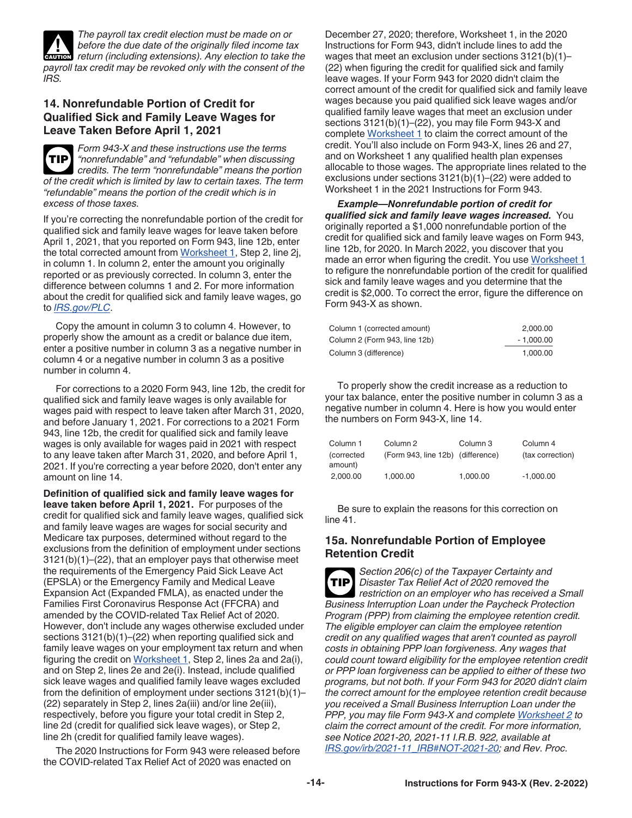

*IRS.*

<span id="page-13-0"></span>*The payroll tax credit election must be made on or before the due date of the originally filed income tax Perfore the due date of the originally filed income tax extensions). Any election to take the payroll tax credit may be revoked only with the consent of the* 

### **14. Nonrefundable Portion of Credit for Qualified Sick and Family Leave Wages for Leave Taken Before April 1, 2021**

*Form 943-X and these instructions use the terms "nonrefundable" and "refundable" when discussing credits. The term "nonrefundable" means the portion of the credit which is limited by law to certain taxes. The term "refundable" means the portion of the credit which is in excess of those taxes.* **TIP**

If you're correcting the nonrefundable portion of the credit for qualified sick and family leave wages for leave taken before April 1, 2021, that you reported on Form 943, line 12b, enter the total corrected amount from [Worksheet 1,](#page-22-0) Step 2, line 2j, in column 1. In column 2, enter the amount you originally reported or as previously corrected. In column 3, enter the difference between columns 1 and 2. For more information about the credit for qualified sick and family leave wages, go to *[IRS.gov/PLC](https://www.irs.gov/plc)*.

Copy the amount in column 3 to column 4. However, to properly show the amount as a credit or balance due item, enter a positive number in column 3 as a negative number in column 4 or a negative number in column 3 as a positive number in column 4.

For corrections to a 2020 Form 943, line 12b, the credit for qualified sick and family leave wages is only available for wages paid with respect to leave taken after March 31, 2020, and before January 1, 2021. For corrections to a 2021 Form 943, line 12b, the credit for qualified sick and family leave wages is only available for wages paid in 2021 with respect to any leave taken after March 31, 2020, and before April 1, 2021. If you're correcting a year before 2020, don't enter any amount on line 14.

**Definition of qualified sick and family leave wages for leave taken before April 1, 2021.** For purposes of the credit for qualified sick and family leave wages, qualified sick and family leave wages are wages for social security and Medicare tax purposes, determined without regard to the exclusions from the definition of employment under sections 3121(b)(1)–(22), that an employer pays that otherwise meet the requirements of the Emergency Paid Sick Leave Act (EPSLA) or the Emergency Family and Medical Leave Expansion Act (Expanded FMLA), as enacted under the Families First Coronavirus Response Act (FFCRA) and amended by the COVID-related Tax Relief Act of 2020. However, don't include any wages otherwise excluded under sections 3121(b)(1)–(22) when reporting qualified sick and family leave wages on your employment tax return and when figuring the credit on [Worksheet 1](#page-22-0), Step 2, lines 2a and 2a(i), and on Step 2, lines 2e and 2e(i). Instead, include qualified sick leave wages and qualified family leave wages excluded from the definition of employment under sections 3121(b)(1)– (22) separately in Step 2, lines 2a(iii) and/or line 2e(iii), respectively, before you figure your total credit in Step 2, line 2d (credit for qualified sick leave wages), or Step 2, line 2h (credit for qualified family leave wages).

The 2020 Instructions for Form 943 were released before the COVID-related Tax Relief Act of 2020 was enacted on

December 27, 2020; therefore, Worksheet 1, in the 2020 Instructions for Form 943, didn't include lines to add the wages that meet an exclusion under sections 3121(b)(1)– (22) when figuring the credit for qualified sick and family leave wages. If your Form 943 for 2020 didn't claim the correct amount of the credit for qualified sick and family leave wages because you paid qualified sick leave wages and/or qualified family leave wages that meet an exclusion under sections 3121(b)(1)–(22), you may file Form 943-X and complete [Worksheet 1](#page-22-0) to claim the correct amount of the credit. You'll also include on Form 943-X, lines 26 and 27, and on Worksheet 1 any qualified health plan expenses allocable to those wages. The appropriate lines related to the exclusions under sections 3121(b)(1)–(22) were added to Worksheet 1 in the 2021 Instructions for Form 943.

*Example—Nonrefundable portion of credit for qualified sick and family leave wages increased.* You originally reported a \$1,000 nonrefundable portion of the credit for qualified sick and family leave wages on Form 943, line 12b, for 2020. In March 2022, you discover that you made an error when figuring the credit. You use Worksheet 1 to refigure the nonrefundable portion of the credit for qualified sick and family leave wages and you determine that the credit is \$2,000. To correct the error, figure the difference on Form 943-X as shown.

| Column 1 (corrected amount)   | 2.000.00    |
|-------------------------------|-------------|
| Column 2 (Form 943, line 12b) | $-1.000.00$ |
| Column 3 (difference)         | 1.000.00    |

To properly show the credit increase as a reduction to your tax balance, enter the positive number in column 3 as a negative number in column 4. Here is how you would enter the numbers on Form 943-X, line 14.

| Column 1<br>(corrected<br>amount) | Column 2<br>(Form 943, line 12b) (difference) | Column 3 | Column 4<br>(tax correction) |  |
|-----------------------------------|-----------------------------------------------|----------|------------------------------|--|
| 2.000.00                          | 1.000.00                                      | 1.000.00 | $-1.000.00$                  |  |

Be sure to explain the reasons for this correction on line 41.

#### **15a. Nonrefundable Portion of Employee Retention Credit**

*Section 206(c) of the Taxpayer Certainty and Disaster Tax Relief Act of 2020 removed the restriction on an employer who has received a Small Business Interruption Loan under the Paycheck Protection Program (PPP) from claiming the employee retention credit. The eligible employer can claim the employee retention credit on any qualified wages that aren't counted as payroll costs in obtaining PPP loan forgiveness. Any wages that could count toward eligibility for the employee retention credit or PPP loan forgiveness can be applied to either of these two programs, but not both. If your Form 943 for 2020 didn't claim the correct amount for the employee retention credit because you received a Small Business Interruption Loan under the PPP, you may file Form 943-X and complete [Worksheet 2](#page-23-0) to claim the correct amount of the credit. For more information, see Notice 2021-20, 2021-11 I.R.B. 922, available at [IRS.gov/irb/2021-11\\_IRB#NOT-2021-20](https://www.irs.gov/irb/2021-11_IRB#NOT-2021-20); and Rev. Proc.*  **TIP**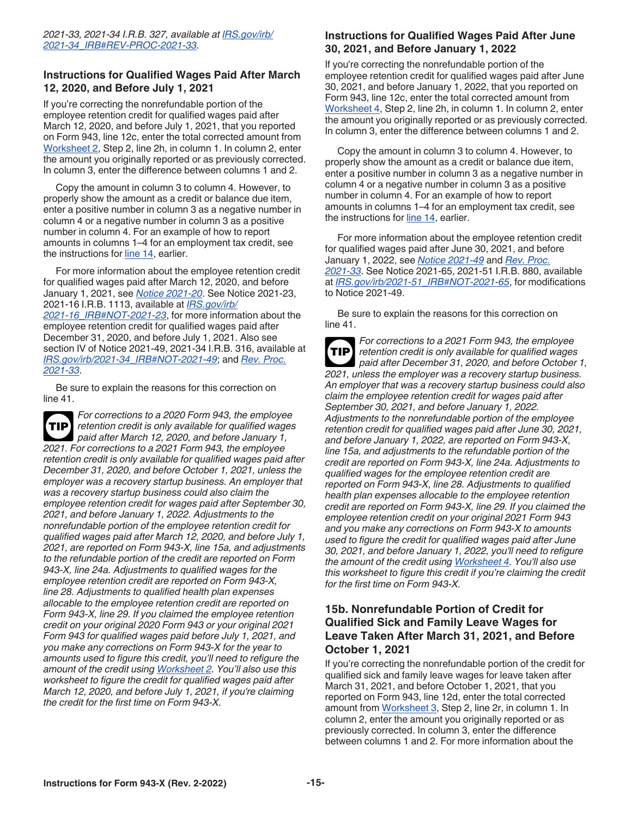#### **Instructions for Qualified Wages Paid After March 12, 2020, and Before July 1, 2021**

If you're correcting the nonrefundable portion of the employee retention credit for qualified wages paid after March 12, 2020, and before July 1, 2021, that you reported on Form 943, line 12c, enter the total corrected amount from [Worksheet 2,](#page-23-0) Step 2, line 2h, in column 1. In column 2, enter the amount you originally reported or as previously corrected. In column 3, enter the difference between columns 1 and 2.

Copy the amount in column 3 to column 4. However, to properly show the amount as a credit or balance due item, enter a positive number in column 3 as a negative number in column 4 or a negative number in column 3 as a positive number in column 4. For an example of how to report amounts in columns 1–4 for an employment tax credit, see the instructions for [line 14,](#page-13-0) earlier.

For more information about the employee retention credit for qualified wages paid after March 12, 2020, and before January 1, 2021, see *[Notice 2021-20](https://www.irs.gov/irb/2021-11_IRB#NOT-2021-20)*. See Notice 2021-23, 2021-16 I.R.B. 1113, available at *[IRS.gov/irb/](https://www.IRS.gov/irb/2021-16_IRB#NOT-2021-23) [2021-16\\_IRB#NOT-2021-23](https://www.IRS.gov/irb/2021-16_IRB#NOT-2021-23)*, for more information about the employee retention credit for qualified wages paid after December 31, 2020, and before July 1, 2021. Also see section IV of Notice 2021-49, 2021-34 I.R.B. 316, available at *[IRS.gov/irb/2021-34\\_IRB#NOT-2021-49](https://www.IRS.gov/irb/2021-34_IRB#NOT-2021-49)*; and *[Rev. Proc.](https://www.IRS.gov/irb/2021-34_IRB#REV-PROC-2021-33) [2021-33](https://www.IRS.gov/irb/2021-34_IRB#REV-PROC-2021-33)*.

Be sure to explain the reasons for this correction on line 41.

*For corrections to a 2020 Form 943, the employee retention credit is only available for qualified wages paid after March 12, 2020, and before January 1, 2021. For corrections to a 2021 Form 943, the employee retention credit is only available for qualified wages paid after December 31, 2020, and before October 1, 2021, unless the employer was a recovery startup business. An employer that was a recovery startup business could also claim the employee retention credit for wages paid after September 30, 2021, and before January 1, 2022. Adjustments to the nonrefundable portion of the employee retention credit for qualified wages paid after March 12, 2020, and before July 1, 2021, are reported on Form 943-X, line 15a, and adjustments to the refundable portion of the credit are reported on Form 943-X, line 24a. Adjustments to qualified wages for the employee retention credit are reported on Form 943-X, line 28. Adjustments to qualified health plan expenses allocable to the employee retention credit are reported on Form 943-X, line 29. If you claimed the employee retention credit on your original 2020 Form 943 or your original 2021 Form 943 for qualified wages paid before July 1, 2021, and you make any corrections on Form 943-X for the year to amounts used to figure this credit, you'll need to refigure the amount of the credit using [Worksheet 2](#page-23-0). You'll also use this worksheet to figure the credit for qualified wages paid after March 12, 2020, and before July 1, 2021, if you're claiming the credit for the first time on Form 943-X.* **TIP**

### **Instructions for Qualified Wages Paid After June 30, 2021, and Before January 1, 2022**

If you're correcting the nonrefundable portion of the employee retention credit for qualified wages paid after June 30, 2021, and before January 1, 2022, that you reported on Form 943, line 12c, enter the total corrected amount from [Worksheet 4,](#page-25-0) Step 2, line 2h, in column 1. In column 2, enter the amount you originally reported or as previously corrected. In column 3, enter the difference between columns 1 and 2.

Copy the amount in column 3 to column 4. However, to properly show the amount as a credit or balance due item, enter a positive number in column 3 as a negative number in column 4 or a negative number in column 3 as a positive number in column 4. For an example of how to report amounts in columns 1–4 for an employment tax credit, see the instructions for [line 14,](#page-13-0) earlier.

For more information about the employee retention credit for qualified wages paid after June 30, 2021, and before January 1, 2022, see *[Notice 2021-49](https://www.IRS.gov/irb/2021-34_IRB#NOT-2021-49)* and *[Rev. Proc.](https://www.IRS.gov/irb/2021-34_IRB#REV-PROC-2021-33) [2021-33](https://www.IRS.gov/irb/2021-34_IRB#REV-PROC-2021-33)*. See Notice 2021-65, 2021-51 I.R.B. 880, available at *[IRS.gov/irb/2021-51\\_IRB#NOT-2021-65](https://www.irs.gov/irb/2021-51_IRB#NOT-2021-65)*, for modifications to Notice 2021-49.

Be sure to explain the reasons for this correction on line 41.

*For corrections to a 2021 Form 943, the employee retention credit is only available for qualified wages paid after December 31, 2020, and before October 1, 2021, unless the employer was a recovery startup business. An employer that was a recovery startup business could also claim the employee retention credit for wages paid after September 30, 2021, and before January 1, 2022. Adjustments to the nonrefundable portion of the employee retention credit for qualified wages paid after June 30, 2021, and before January 1, 2022, are reported on Form 943-X, line 15a, and adjustments to the refundable portion of the credit are reported on Form 943-X, line 24a. Adjustments to qualified wages for the employee retention credit are reported on Form 943-X, line 28. Adjustments to qualified health plan expenses allocable to the employee retention credit are reported on Form 943-X, line 29. If you claimed the employee retention credit on your original 2021 Form 943 and you make any corrections on Form 943-X to amounts used to figure the credit for qualified wages paid after June 30, 2021, and before January 1, 2022, you'll need to refigure the amount of the credit using [Worksheet 4.](#page-25-0) You'll also use this worksheet to figure this credit if you're claiming the credit for the first time on Form 943-X.* **TIP**

#### **15b. Nonrefundable Portion of Credit for Qualified Sick and Family Leave Wages for Leave Taken After March 31, 2021, and Before October 1, 2021**

If you're correcting the nonrefundable portion of the credit for qualified sick and family leave wages for leave taken after March 31, 2021, and before October 1, 2021, that you reported on Form 943, line 12d, enter the total corrected amount from [Worksheet 3](#page-24-0), Step 2, line 2r, in column 1. In column 2, enter the amount you originally reported or as previously corrected. In column 3, enter the difference between columns 1 and 2. For more information about the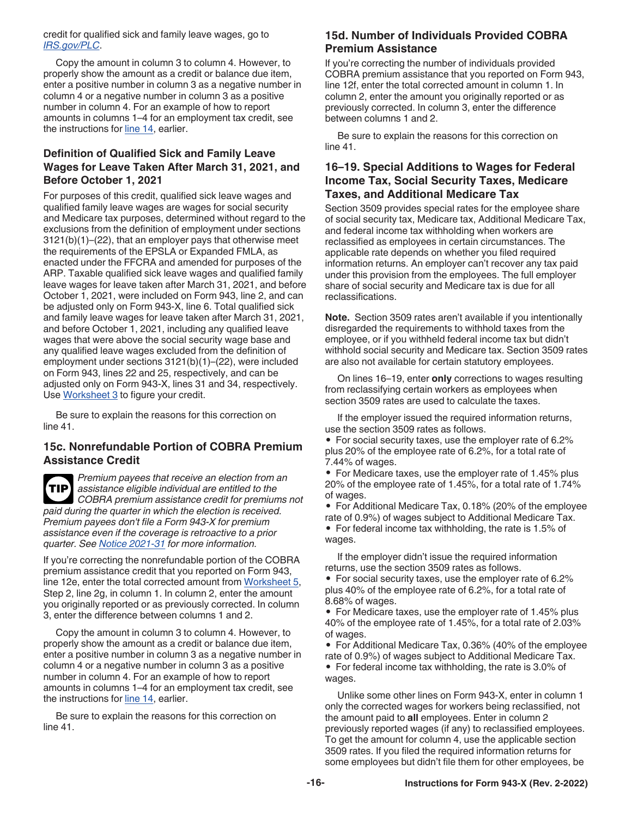#### <span id="page-15-0"></span>credit for qualified sick and family leave wages, go to *[IRS.gov/PLC](https://www.irs.gov/PLC)*.

Copy the amount in column 3 to column 4. However, to properly show the amount as a credit or balance due item, enter a positive number in column 3 as a negative number in column 4 or a negative number in column 3 as a positive number in column 4. For an example of how to report amounts in columns 1–4 for an employment tax credit, see the instructions for [line 14,](#page-13-0) earlier.

#### **Definition of Qualified Sick and Family Leave Wages for Leave Taken After March 31, 2021, and Before October 1, 2021**

For purposes of this credit, qualified sick leave wages and qualified family leave wages are wages for social security and Medicare tax purposes, determined without regard to the exclusions from the definition of employment under sections 3121(b)(1)–(22), that an employer pays that otherwise meet the requirements of the EPSLA or Expanded FMLA, as enacted under the FFCRA and amended for purposes of the ARP. Taxable qualified sick leave wages and qualified family leave wages for leave taken after March 31, 2021, and before October 1, 2021, were included on Form 943, line 2, and can be adjusted only on Form 943-X, line 6. Total qualified sick and family leave wages for leave taken after March 31, 2021, and before October 1, 2021, including any qualified leave wages that were above the social security wage base and any qualified leave wages excluded from the definition of employment under sections 3121(b)(1)–(22), were included on Form 943, lines 22 and 25, respectively, and can be adjusted only on Form 943-X, lines 31 and 34, respectively. Use [Worksheet 3](#page-24-0) to figure your credit.

Be sure to explain the reasons for this correction on line 41.

#### **15c. Nonrefundable Portion of COBRA Premium Assistance Credit**

*Premium payees that receive an election from an assistance eligible individual are entitled to the*  **TIP** *COBRA premium assistance credit for premiums not paid during the quarter in which the election is received. Premium payees don't file a Form 943-X for premium assistance even if the coverage is retroactive to a prior quarter. See [Notice 2021-31](https://IRS.gov/irb/2021-23_IRB#NOT-2021-31) for more information.*

If you're correcting the nonrefundable portion of the COBRA premium assistance credit that you reported on Form 943, line 12e, enter the total corrected amount from [Worksheet 5](#page-26-0), Step 2, line 2g, in column 1. In column 2, enter the amount you originally reported or as previously corrected. In column 3, enter the difference between columns 1 and 2.

Copy the amount in column 3 to column 4. However, to properly show the amount as a credit or balance due item, enter a positive number in column 3 as a negative number in column 4 or a negative number in column 3 as a positive number in column 4. For an example of how to report amounts in columns 1–4 for an employment tax credit, see the instructions for [line 14,](#page-13-0) earlier.

Be sure to explain the reasons for this correction on line 41.

#### **15d. Number of Individuals Provided COBRA Premium Assistance**

If you're correcting the number of individuals provided COBRA premium assistance that you reported on Form 943, line 12f, enter the total corrected amount in column 1. In column 2, enter the amount you originally reported or as previously corrected. In column 3, enter the difference between columns 1 and 2.

Be sure to explain the reasons for this correction on line 41.

#### **16–19. Special Additions to Wages for Federal Income Tax, Social Security Taxes, Medicare Taxes, and Additional Medicare Tax**

Section 3509 provides special rates for the employee share of social security tax, Medicare tax, Additional Medicare Tax, and federal income tax withholding when workers are reclassified as employees in certain circumstances. The applicable rate depends on whether you filed required information returns. An employer can't recover any tax paid under this provision from the employees. The full employer share of social security and Medicare tax is due for all reclassifications.

**Note.** Section 3509 rates aren't available if you intentionally disregarded the requirements to withhold taxes from the employee, or if you withheld federal income tax but didn't withhold social security and Medicare tax. Section 3509 rates are also not available for certain statutory employees.

On lines 16–19, enter **only** corrections to wages resulting from reclassifying certain workers as employees when section 3509 rates are used to calculate the taxes.

If the employer issued the required information returns, use the section 3509 rates as follows.

• For social security taxes, use the employer rate of 6.2% plus 20% of the employee rate of 6.2%, for a total rate of 7.44% of wages.

• For Medicare taxes, use the employer rate of 1.45% plus 20% of the employee rate of 1.45%, for a total rate of 1.74% of wages.

• For Additional Medicare Tax, 0.18% (20% of the employee rate of 0.9%) of wages subject to Additional Medicare Tax. • For federal income tax withholding, the rate is 1.5% of wages.

If the employer didn't issue the required information returns, use the section 3509 rates as follows.

• For social security taxes, use the employer rate of 6.2% plus 40% of the employee rate of 6.2%, for a total rate of 8.68% of wages.

• For Medicare taxes, use the employer rate of 1.45% plus 40% of the employee rate of 1.45%, for a total rate of 2.03% of wages.

• For Additional Medicare Tax, 0.36% (40% of the employee rate of 0.9%) of wages subject to Additional Medicare Tax. • For federal income tax withholding, the rate is 3.0% of wages.

Unlike some other lines on Form 943-X, enter in column 1 only the corrected wages for workers being reclassified, not the amount paid to **all** employees. Enter in column 2 previously reported wages (if any) to reclassified employees. To get the amount for column 4, use the applicable section 3509 rates. If you filed the required information returns for some employees but didn't file them for other employees, be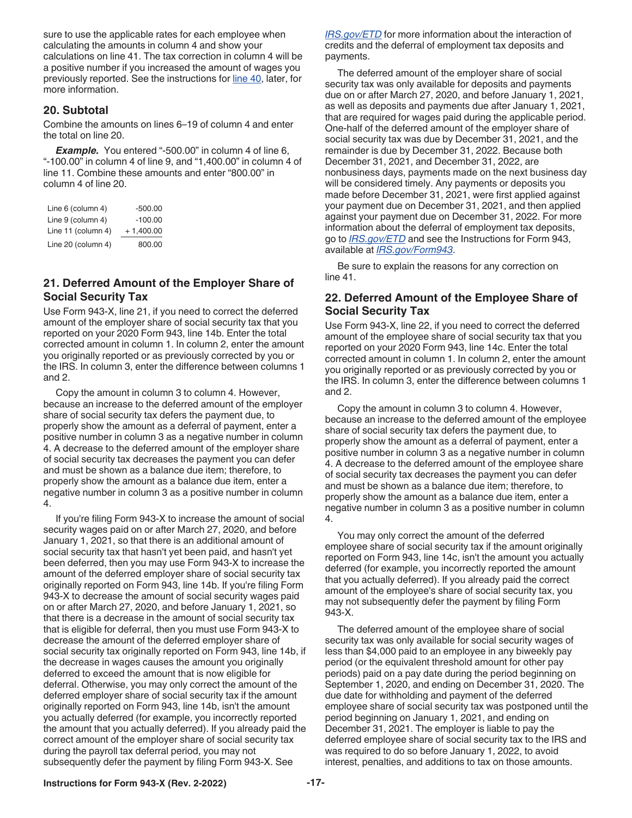sure to use the applicable rates for each employee when calculating the amounts in column 4 and show your calculations on line 41. The tax correction in column 4 will be a positive number if you increased the amount of wages you previously reported. See the instructions for [line 40](#page-20-0), later, for more information.

#### **20. Subtotal**

Combine the amounts on lines 6–19 of column 4 and enter the total on line 20.

**Example.** You entered "-500.00" in column 4 of line 6, "-100.00" in column 4 of line 9, and "1,400.00" in column 4 of line 11. Combine these amounts and enter "800.00" in column 4 of line 20.

| Line 6 (column 4)  | $-500.00$   |
|--------------------|-------------|
| Line 9 (column 4)  | $-100.00$   |
| Line 11 (column 4) | $+1,400.00$ |
| Line 20 (column 4) | 800.00      |

### **21. Deferred Amount of the Employer Share of Social Security Tax**

Use Form 943-X, line 21, if you need to correct the deferred amount of the employer share of social security tax that you reported on your 2020 Form 943, line 14b. Enter the total corrected amount in column 1. In column 2, enter the amount you originally reported or as previously corrected by you or the IRS. In column 3, enter the difference between columns 1 and 2.

Copy the amount in column 3 to column 4. However, because an increase to the deferred amount of the employer share of social security tax defers the payment due, to properly show the amount as a deferral of payment, enter a positive number in column 3 as a negative number in column 4. A decrease to the deferred amount of the employer share of social security tax decreases the payment you can defer and must be shown as a balance due item; therefore, to properly show the amount as a balance due item, enter a negative number in column 3 as a positive number in column 4.

If you're filing Form 943-X to increase the amount of social security wages paid on or after March 27, 2020, and before January 1, 2021, so that there is an additional amount of social security tax that hasn't yet been paid, and hasn't yet been deferred, then you may use Form 943-X to increase the amount of the deferred employer share of social security tax originally reported on Form 943, line 14b. If you're filing Form 943-X to decrease the amount of social security wages paid on or after March 27, 2020, and before January 1, 2021, so that there is a decrease in the amount of social security tax that is eligible for deferral, then you must use Form 943-X to decrease the amount of the deferred employer share of social security tax originally reported on Form 943, line 14b, if the decrease in wages causes the amount you originally deferred to exceed the amount that is now eligible for deferral. Otherwise, you may only correct the amount of the deferred employer share of social security tax if the amount originally reported on Form 943, line 14b, isn't the amount you actually deferred (for example, you incorrectly reported the amount that you actually deferred). If you already paid the correct amount of the employer share of social security tax during the payroll tax deferral period, you may not subsequently defer the payment by filing Form 943-X. See

*[IRS.gov/ETD](https://www.irs.gov/etd)* for more information about the interaction of credits and the deferral of employment tax deposits and payments.

The deferred amount of the employer share of social security tax was only available for deposits and payments due on or after March 27, 2020, and before January 1, 2021, as well as deposits and payments due after January 1, 2021, that are required for wages paid during the applicable period. One-half of the deferred amount of the employer share of social security tax was due by December 31, 2021, and the remainder is due by December 31, 2022. Because both December 31, 2021, and December 31, 2022, are nonbusiness days, payments made on the next business day will be considered timely. Any payments or deposits you made before December 31, 2021, were first applied against your payment due on December 31, 2021, and then applied against your payment due on December 31, 2022. For more information about the deferral of employment tax deposits, go to *[IRS.gov/ETD](https://www.irs.gov/etd)* and see the Instructions for Form 943, available at *[IRS.gov/Form943](https://www.irs.gov/form943)*.

Be sure to explain the reasons for any correction on line 41.

#### **22. Deferred Amount of the Employee Share of Social Security Tax**

Use Form 943-X, line 22, if you need to correct the deferred amount of the employee share of social security tax that you reported on your 2020 Form 943, line 14c. Enter the total corrected amount in column 1. In column 2, enter the amount you originally reported or as previously corrected by you or the IRS. In column 3, enter the difference between columns 1 and 2.

Copy the amount in column 3 to column 4. However, because an increase to the deferred amount of the employee share of social security tax defers the payment due, to properly show the amount as a deferral of payment, enter a positive number in column 3 as a negative number in column 4. A decrease to the deferred amount of the employee share of social security tax decreases the payment you can defer and must be shown as a balance due item; therefore, to properly show the amount as a balance due item, enter a negative number in column 3 as a positive number in column 4.

You may only correct the amount of the deferred employee share of social security tax if the amount originally reported on Form 943, line 14c, isn't the amount you actually deferred (for example, you incorrectly reported the amount that you actually deferred). If you already paid the correct amount of the employee's share of social security tax, you may not subsequently defer the payment by filing Form 943-X.

The deferred amount of the employee share of social security tax was only available for social security wages of less than \$4,000 paid to an employee in any biweekly pay period (or the equivalent threshold amount for other pay periods) paid on a pay date during the period beginning on September 1, 2020, and ending on December 31, 2020. The due date for withholding and payment of the deferred employee share of social security tax was postponed until the period beginning on January 1, 2021, and ending on December 31, 2021. The employer is liable to pay the deferred employee share of social security tax to the IRS and was required to do so before January 1, 2022, to avoid interest, penalties, and additions to tax on those amounts.

#### **Instructions for Form 943-X (Rev. 2-2022) -17-**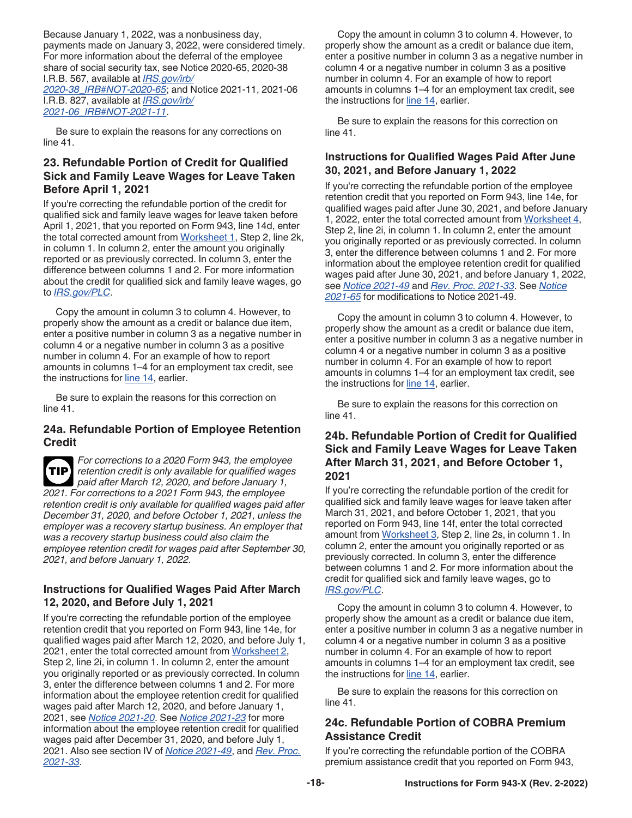Because January 1, 2022, was a nonbusiness day, payments made on January 3, 2022, were considered timely. For more information about the deferral of the employee share of social security tax, see Notice 2020-65, 2020-38 I.R.B. 567, available at *[IRS.gov/irb/](https://www.irs.gov/irb/2020-38_IRB#NOT-2020-65) [2020-38\\_IRB#NOT-2020-65](https://www.irs.gov/irb/2020-38_IRB#NOT-2020-65)*; and Notice 2021-11, 2021-06 I.R.B. 827, available at *[IRS.gov/irb/](https://www.irs.gov/irb/2021-06_IRB#NOT-2021-11) [2021-06\\_IRB#NOT-2021-11](https://www.irs.gov/irb/2021-06_IRB#NOT-2021-11)*.

Be sure to explain the reasons for any corrections on line 41.

### **23. Refundable Portion of Credit for Qualified Sick and Family Leave Wages for Leave Taken Before April 1, 2021**

If you're correcting the refundable portion of the credit for qualified sick and family leave wages for leave taken before April 1, 2021, that you reported on Form 943, line 14d, enter the total corrected amount from [Worksheet 1,](#page-22-0) Step 2, line 2k, in column 1. In column 2, enter the amount you originally reported or as previously corrected. In column 3, enter the difference between columns 1 and 2. For more information about the credit for qualified sick and family leave wages, go to *[IRS.gov/PLC](https://www.irs.gov/plc)*.

Copy the amount in column 3 to column 4. However, to properly show the amount as a credit or balance due item, enter a positive number in column 3 as a negative number in column 4 or a negative number in column 3 as a positive number in column 4. For an example of how to report amounts in columns 1–4 for an employment tax credit, see the instructions for [line 14,](#page-13-0) earlier.

Be sure to explain the reasons for this correction on line 41.

#### **24a. Refundable Portion of Employee Retention Credit**

*For corrections to a 2020 Form 943, the employee retention credit is only available for qualified wages paid after March 12, 2020, and before January 1, 2021. For corrections to a 2021 Form 943, the employee retention credit is only available for qualified wages paid after December 31, 2020, and before October 1, 2021, unless the employer was a recovery startup business. An employer that was a recovery startup business could also claim the employee retention credit for wages paid after September 30, 2021, and before January 1, 2022.* **TIP**

#### **Instructions for Qualified Wages Paid After March 12, 2020, and Before July 1, 2021**

If you're correcting the refundable portion of the employee retention credit that you reported on Form 943, line 14e, for qualified wages paid after March 12, 2020, and before July 1, 2021, enter the total corrected amount from [Worksheet 2,](#page-23-0) Step 2, line 2i, in column 1. In column 2, enter the amount you originally reported or as previously corrected. In column 3, enter the difference between columns 1 and 2. For more information about the employee retention credit for qualified wages paid after March 12, 2020, and before January 1, 2021, see *[Notice 2021-20](https://www.irs.gov/irb/2021-11_IRB#NOT-2021-20)*. See *[Notice 2021-23](https://www.irs.gov/irb/2021-16_IRB#NOT-2021-23)* for more information about the employee retention credit for qualified wages paid after December 31, 2020, and before July 1, 2021. Also see section IV of *[Notice 2021-49](https://www.IRS.gov/irb/2021-34_IRB#NOT-2021-49)*, and *[Rev. Proc.](https://www.IRS.gov/irb/2021-34_IRB#REV-PROC-2021-33) [2021-33](https://www.IRS.gov/irb/2021-34_IRB#REV-PROC-2021-33)*.

Copy the amount in column 3 to column 4. However, to properly show the amount as a credit or balance due item, enter a positive number in column 3 as a negative number in column 4 or a negative number in column 3 as a positive number in column 4. For an example of how to report amounts in columns 1–4 for an employment tax credit, see the instructions for [line 14,](#page-13-0) earlier.

Be sure to explain the reasons for this correction on line 41.

#### **Instructions for Qualified Wages Paid After June 30, 2021, and Before January 1, 2022**

If you're correcting the refundable portion of the employee retention credit that you reported on Form 943, line 14e, for qualified wages paid after June 30, 2021, and before January 1, 2022, enter the total corrected amount from [Worksheet 4,](#page-25-0) Step 2, line 2i, in column 1. In column 2, enter the amount you originally reported or as previously corrected. In column 3, enter the difference between columns 1 and 2. For more information about the employee retention credit for qualified wages paid after June 30, 2021, and before January 1, 2022, see *[Notice 2021-49](https://www.IRS.gov/irb/2021-34_IRB#NOT-2021-49)* and *[Rev. Proc. 2021-33](https://www.IRS.gov/irb/2021-34_IRB#REV-PROC-2021-33)*. See *[Notice](https://www.irs.gov/irb/2021-51_IRB#NOT-2021-65)  [2021-65](https://www.irs.gov/irb/2021-51_IRB#NOT-2021-65)* for modifications to Notice 2021-49.

Copy the amount in column 3 to column 4. However, to properly show the amount as a credit or balance due item, enter a positive number in column 3 as a negative number in column 4 or a negative number in column 3 as a positive number in column 4. For an example of how to report amounts in columns 1–4 for an employment tax credit, see the instructions for [line 14,](#page-13-0) earlier.

Be sure to explain the reasons for this correction on line 41.

#### **24b. Refundable Portion of Credit for Qualified Sick and Family Leave Wages for Leave Taken After March 31, 2021, and Before October 1, 2021**

If you're correcting the refundable portion of the credit for qualified sick and family leave wages for leave taken after March 31, 2021, and before October 1, 2021, that you reported on Form 943, line 14f, enter the total corrected amount from [Worksheet 3](#page-24-0), Step 2, line 2s, in column 1. In column 2, enter the amount you originally reported or as previously corrected. In column 3, enter the difference between columns 1 and 2. For more information about the credit for qualified sick and family leave wages, go to *[IRS.gov/PLC](https://www.irs.gov/plc)*.

Copy the amount in column 3 to column 4. However, to properly show the amount as a credit or balance due item, enter a positive number in column 3 as a negative number in column 4 or a negative number in column 3 as a positive number in column 4. For an example of how to report amounts in columns 1–4 for an employment tax credit, see the instructions for [line 14,](#page-13-0) earlier.

Be sure to explain the reasons for this correction on line 41.

### **24c. Refundable Portion of COBRA Premium Assistance Credit**

If you're correcting the refundable portion of the COBRA premium assistance credit that you reported on Form 943,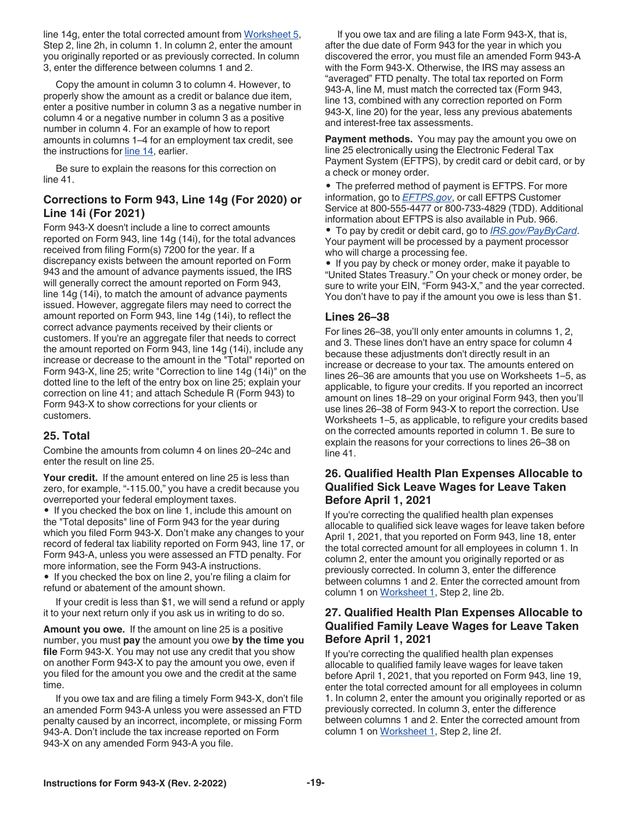<span id="page-18-0"></span>line 14g, enter the total corrected amount from [Worksheet 5](#page-26-0), Step 2, line 2h, in column 1. In column 2, enter the amount you originally reported or as previously corrected. In column 3, enter the difference between columns 1 and 2.

Copy the amount in column 3 to column 4. However, to properly show the amount as a credit or balance due item, enter a positive number in column 3 as a negative number in column 4 or a negative number in column 3 as a positive number in column 4. For an example of how to report amounts in columns 1–4 for an employment tax credit, see the instructions for [line 14,](#page-13-0) earlier.

Be sure to explain the reasons for this correction on line 41.

#### **Corrections to Form 943, Line 14g (For 2020) or Line 14i (For 2021)**

Form 943-X doesn't include a line to correct amounts reported on Form 943, line 14g (14i), for the total advances received from filing Form(s) 7200 for the year. If a discrepancy exists between the amount reported on Form 943 and the amount of advance payments issued, the IRS will generally correct the amount reported on Form 943, line 14g (14i), to match the amount of advance payments issued. However, aggregate filers may need to correct the amount reported on Form 943, line 14g (14i), to reflect the correct advance payments received by their clients or customers. If you're an aggregate filer that needs to correct the amount reported on Form 943, line 14g (14i), include any increase or decrease to the amount in the "Total" reported on Form 943-X, line 25; write "Correction to line 14g (14i)" on the dotted line to the left of the entry box on line 25; explain your correction on line 41; and attach Schedule R (Form 943) to Form 943-X to show corrections for your clients or customers.

#### **25. Total**

Combine the amounts from column 4 on lines 20–24c and enter the result on line 25.

Your credit. If the amount entered on line 25 is less than zero, for example, "-115.00," you have a credit because you overreported your federal employment taxes.

• If you checked the box on line 1, include this amount on the "Total deposits" line of Form 943 for the year during which you filed Form 943-X. Don't make any changes to your record of federal tax liability reported on Form 943, line 17, or Form 943-A, unless you were assessed an FTD penalty. For more information, see the Form 943-A instructions.

• If you checked the box on line 2, you're filing a claim for refund or abatement of the amount shown.

If your credit is less than \$1, we will send a refund or apply it to your next return only if you ask us in writing to do so.

**Amount you owe.** If the amount on line 25 is a positive number, you must **pay** the amount you owe **by the time you file** Form 943-X. You may not use any credit that you show on another Form 943-X to pay the amount you owe, even if you filed for the amount you owe and the credit at the same time.

If you owe tax and are filing a timely Form 943-X, don't file an amended Form 943-A unless you were assessed an FTD penalty caused by an incorrect, incomplete, or missing Form 943-A. Don't include the tax increase reported on Form 943-X on any amended Form 943-A you file.

If you owe tax and are filing a late Form 943-X, that is, after the due date of Form 943 for the year in which you discovered the error, you must file an amended Form 943-A with the Form 943-X. Otherwise, the IRS may assess an "averaged" FTD penalty. The total tax reported on Form 943-A, line M, must match the corrected tax (Form 943, line 13, combined with any correction reported on Form 943-X, line 20) for the year, less any previous abatements and interest-free tax assessments.

**Payment methods.** You may pay the amount you owe on line 25 electronically using the Electronic Federal Tax Payment System (EFTPS), by credit card or debit card, or by a check or money order.

• The preferred method of payment is EFTPS. For more information, go to *[EFTPS.gov](https://www.eftps.gov)*, or call EFTPS Customer Service at 800-555-4477 or 800-733-4829 (TDD). Additional information about EFTPS is also available in Pub. 966. • To pay by credit or debit card, go to *[IRS.gov/PayByCard](https://www.irs.gov/paybycard)*. Your payment will be processed by a payment processor who will charge a processing fee.

• If you pay by check or money order, make it payable to "United States Treasury." On your check or money order, be sure to write your EIN, "Form 943-X," and the year corrected. You don't have to pay if the amount you owe is less than \$1.

#### **Lines 26–38**

For lines 26–38, you'll only enter amounts in columns 1, 2, and 3. These lines don't have an entry space for column 4 because these adjustments don't directly result in an increase or decrease to your tax. The amounts entered on lines 26–36 are amounts that you use on Worksheets 1–5, as applicable, to figure your credits. If you reported an incorrect amount on lines 18–29 on your original Form 943, then you'll use lines 26–38 of Form 943-X to report the correction. Use Worksheets 1–5, as applicable, to refigure your credits based on the corrected amounts reported in column 1. Be sure to explain the reasons for your corrections to lines 26–38 on line 41.

#### **26. Qualified Health Plan Expenses Allocable to Qualified Sick Leave Wages for Leave Taken Before April 1, 2021**

If you're correcting the qualified health plan expenses allocable to qualified sick leave wages for leave taken before April 1, 2021, that you reported on Form 943, line 18, enter the total corrected amount for all employees in column 1. In column 2, enter the amount you originally reported or as previously corrected. In column 3, enter the difference between columns 1 and 2. Enter the corrected amount from column 1 on [Worksheet 1](#page-22-0), Step 2, line 2b.

#### **27. Qualified Health Plan Expenses Allocable to Qualified Family Leave Wages for Leave Taken Before April 1, 2021**

If you're correcting the qualified health plan expenses allocable to qualified family leave wages for leave taken before April 1, 2021, that you reported on Form 943, line 19, enter the total corrected amount for all employees in column 1. In column 2, enter the amount you originally reported or as previously corrected. In column 3, enter the difference between columns 1 and 2. Enter the corrected amount from column 1 on [Worksheet 1](#page-22-0), Step 2, line 2f.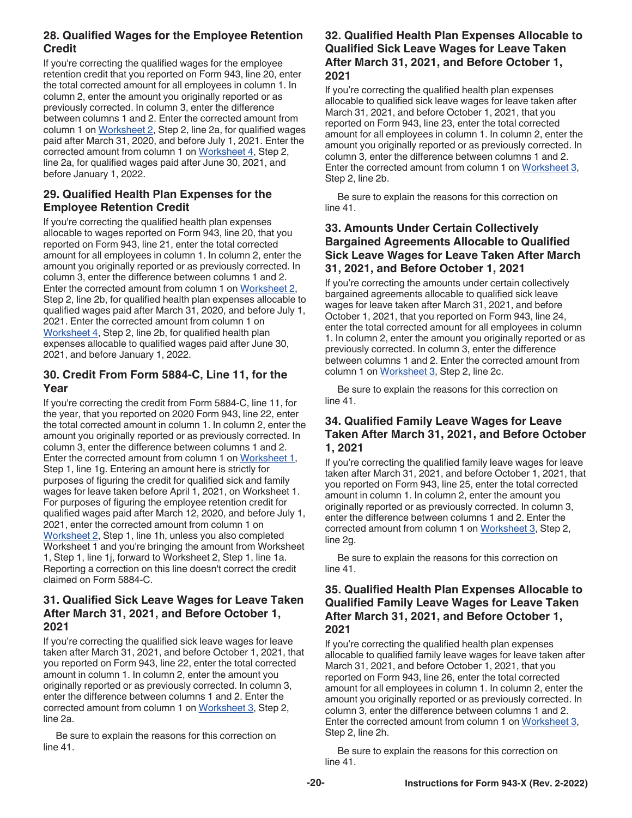#### **28. Qualified Wages for the Employee Retention Credit**

If you're correcting the qualified wages for the employee retention credit that you reported on Form 943, line 20, enter the total corrected amount for all employees in column 1. In column 2, enter the amount you originally reported or as previously corrected. In column 3, enter the difference between columns 1 and 2. Enter the corrected amount from column 1 on [Worksheet 2](#page-23-0), Step 2, line 2a, for qualified wages paid after March 31, 2020, and before July 1, 2021. Enter the corrected amount from column 1 on [Worksheet 4,](#page-25-0) Step 2, line 2a, for qualified wages paid after June 30, 2021, and before January 1, 2022.

#### **29. Qualified Health Plan Expenses for the Employee Retention Credit**

If you're correcting the qualified health plan expenses allocable to wages reported on Form 943, line 20, that you reported on Form 943, line 21, enter the total corrected amount for all employees in column 1. In column 2, enter the amount you originally reported or as previously corrected. In column 3, enter the difference between columns 1 and 2. Enter the corrected amount from column 1 on [Worksheet 2,](#page-23-0) Step 2, line 2b, for qualified health plan expenses allocable to qualified wages paid after March 31, 2020, and before July 1, 2021. Enter the corrected amount from column 1 on [Worksheet 4,](#page-25-0) Step 2, line 2b, for qualified health plan expenses allocable to qualified wages paid after June 30, 2021, and before January 1, 2022.

### **30. Credit From Form 5884-C, Line 11, for the Year**

If you're correcting the credit from Form 5884-C, line 11, for the year, that you reported on 2020 Form 943, line 22, enter the total corrected amount in column 1. In column 2, enter the amount you originally reported or as previously corrected. In column 3, enter the difference between columns 1 and 2. Enter the corrected amount from column 1 on [Worksheet 1,](#page-22-0) Step 1, line 1g. Entering an amount here is strictly for purposes of figuring the credit for qualified sick and family wages for leave taken before April 1, 2021, on Worksheet 1. For purposes of figuring the employee retention credit for qualified wages paid after March 12, 2020, and before July 1, 2021, enter the corrected amount from column 1 on [Worksheet 2,](#page-23-0) Step 1, line 1h, unless you also completed Worksheet 1 and you're bringing the amount from Worksheet 1, Step 1, line 1j, forward to Worksheet 2, Step 1, line 1a. Reporting a correction on this line doesn't correct the credit claimed on Form 5884-C.

#### **31. Qualified Sick Leave Wages for Leave Taken After March 31, 2021, and Before October 1, 2021**

If you're correcting the qualified sick leave wages for leave taken after March 31, 2021, and before October 1, 2021, that you reported on Form 943, line 22, enter the total corrected amount in column 1. In column 2, enter the amount you originally reported or as previously corrected. In column 3, enter the difference between columns 1 and 2. Enter the corrected amount from column 1 on [Worksheet 3,](#page-24-0) Step 2, line 2a.

Be sure to explain the reasons for this correction on line 41.

#### **32. Qualified Health Plan Expenses Allocable to Qualified Sick Leave Wages for Leave Taken After March 31, 2021, and Before October 1, 2021**

If you're correcting the qualified health plan expenses allocable to qualified sick leave wages for leave taken after March 31, 2021, and before October 1, 2021, that you reported on Form 943, line 23, enter the total corrected amount for all employees in column 1. In column 2, enter the amount you originally reported or as previously corrected. In column 3, enter the difference between columns 1 and 2. Enter the corrected amount from column 1 on [Worksheet 3,](#page-24-0) Step 2, line 2b.

Be sure to explain the reasons for this correction on line 41.

#### **33. Amounts Under Certain Collectively Bargained Agreements Allocable to Qualified Sick Leave Wages for Leave Taken After March 31, 2021, and Before October 1, 2021**

If you're correcting the amounts under certain collectively bargained agreements allocable to qualified sick leave wages for leave taken after March 31, 2021, and before October 1, 2021, that you reported on Form 943, line 24, enter the total corrected amount for all employees in column 1. In column 2, enter the amount you originally reported or as previously corrected. In column 3, enter the difference between columns 1 and 2. Enter the corrected amount from column 1 on [Worksheet 3](#page-24-0), Step 2, line 2c.

Be sure to explain the reasons for this correction on line 41.

### **34. Qualified Family Leave Wages for Leave Taken After March 31, 2021, and Before October 1, 2021**

If you're correcting the qualified family leave wages for leave taken after March 31, 2021, and before October 1, 2021, that you reported on Form 943, line 25, enter the total corrected amount in column 1. In column 2, enter the amount you originally reported or as previously corrected. In column 3, enter the difference between columns 1 and 2. Enter the corrected amount from column 1 on [Worksheet 3,](#page-24-0) Step 2, line 2g.

Be sure to explain the reasons for this correction on line 41.

#### **35. Qualified Health Plan Expenses Allocable to Qualified Family Leave Wages for Leave Taken After March 31, 2021, and Before October 1, 2021**

If you're correcting the qualified health plan expenses allocable to qualified family leave wages for leave taken after March 31, 2021, and before October 1, 2021, that you reported on Form 943, line 26, enter the total corrected amount for all employees in column 1. In column 2, enter the amount you originally reported or as previously corrected. In column 3, enter the difference between columns 1 and 2. Enter the corrected amount from column 1 on [Worksheet 3,](#page-24-0) Step 2, line 2h.

Be sure to explain the reasons for this correction on line 41.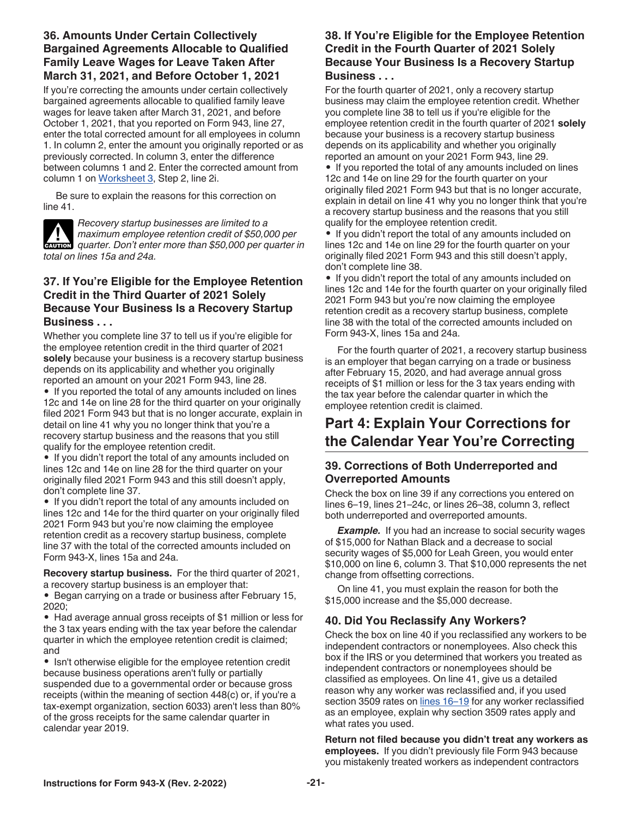#### <span id="page-20-0"></span>**36. Amounts Under Certain Collectively Bargained Agreements Allocable to Qualified Family Leave Wages for Leave Taken After March 31, 2021, and Before October 1, 2021**

If you're correcting the amounts under certain collectively bargained agreements allocable to qualified family leave wages for leave taken after March 31, 2021, and before October 1, 2021, that you reported on Form 943, line 27, enter the total corrected amount for all employees in column 1. In column 2, enter the amount you originally reported or as previously corrected. In column 3, enter the difference between columns 1 and 2. Enter the corrected amount from column 1 on [Worksheet 3](#page-24-0), Step 2, line 2i.

Be sure to explain the reasons for this correction on line 41.

*Recovery startup businesses are limited to a maximum employee retention credit of \$50,000 per*  **z** *quarter. Don't enter more than \$50,000 per quarter in*  $\frac{1}{2}$  *<i>quarter. Don't enter more than \$50,000 per quarter in total on lines 15a and 24a.*

#### **37. If You're Eligible for the Employee Retention Credit in the Third Quarter of 2021 Solely Because Your Business Is a Recovery Startup Business . . .**

Whether you complete line 37 to tell us if you're eligible for the employee retention credit in the third quarter of 2021 **solely** because your business is a recovery startup business depends on its applicability and whether you originally reported an amount on your 2021 Form 943, line 28. • If you reported the total of any amounts included on lines 12c and 14e on line 28 for the third quarter on your originally filed 2021 Form 943 but that is no longer accurate, explain in detail on line 41 why you no longer think that you're a recovery startup business and the reasons that you still qualify for the employee retention credit.

• If you didn't report the total of any amounts included on lines 12c and 14e on line 28 for the third quarter on your originally filed 2021 Form 943 and this still doesn't apply, don't complete line 37.

• If you didn't report the total of any amounts included on lines 12c and 14e for the third quarter on your originally filed 2021 Form 943 but you're now claiming the employee retention credit as a recovery startup business, complete line 37 with the total of the corrected amounts included on Form 943-X, lines 15a and 24a.

**Recovery startup business.** For the third quarter of 2021, a recovery startup business is an employer that:

• Began carrying on a trade or business after February 15, 2020;

• Had average annual gross receipts of \$1 million or less for the 3 tax years ending with the tax year before the calendar quarter in which the employee retention credit is claimed; and

• Isn't otherwise eligible for the employee retention credit because business operations aren't fully or partially suspended due to a governmental order or because gross receipts (within the meaning of section 448(c) or, if you're a tax-exempt organization, section 6033) aren't less than 80% of the gross receipts for the same calendar quarter in calendar year 2019.

### **38. If You're Eligible for the Employee Retention Credit in the Fourth Quarter of 2021 Solely Because Your Business Is a Recovery Startup Business . . .**

For the fourth quarter of 2021, only a recovery startup business may claim the employee retention credit. Whether you complete line 38 to tell us if you're eligible for the employee retention credit in the fourth quarter of 2021 **solely**  because your business is a recovery startup business depends on its applicability and whether you originally reported an amount on your 2021 Form 943, line 29.

• If you reported the total of any amounts included on lines 12c and 14e on line 29 for the fourth quarter on your originally filed 2021 Form 943 but that is no longer accurate, explain in detail on line 41 why you no longer think that you're a recovery startup business and the reasons that you still qualify for the employee retention credit.

• If you didn't report the total of any amounts included on lines 12c and 14e on line 29 for the fourth quarter on your originally filed 2021 Form 943 and this still doesn't apply, don't complete line 38.

• If you didn't report the total of any amounts included on lines 12c and 14e for the fourth quarter on your originally filed 2021 Form 943 but you're now claiming the employee retention credit as a recovery startup business, complete line 38 with the total of the corrected amounts included on Form 943-X, lines 15a and 24a.

For the fourth quarter of 2021, a recovery startup business is an employer that began carrying on a trade or business after February 15, 2020, and had average annual gross receipts of \$1 million or less for the 3 tax years ending with the tax year before the calendar quarter in which the employee retention credit is claimed.

# **Part 4: Explain Your Corrections for the Calendar Year You're Correcting**

### **39. Corrections of Both Underreported and Overreported Amounts**

Check the box on line 39 if any corrections you entered on lines 6–19, lines 21–24c, or lines 26–38, column 3, reflect both underreported and overreported amounts.

**Example.** If you had an increase to social security wages of \$15,000 for Nathan Black and a decrease to social security wages of \$5,000 for Leah Green, you would enter \$10,000 on line 6, column 3. That \$10,000 represents the net change from offsetting corrections.

On line 41, you must explain the reason for both the \$15,000 increase and the \$5,000 decrease.

### **40. Did You Reclassify Any Workers?**

Check the box on line 40 if you reclassified any workers to be independent contractors or nonemployees. Also check this box if the IRS or you determined that workers you treated as independent contractors or nonemployees should be classified as employees. On line 41, give us a detailed reason why any worker was reclassified and, if you used section 3509 rates on lines 16-19 for any worker reclassified as an employee, explain why section 3509 rates apply and what rates you used.

**Return not filed because you didn't treat any workers as employees.** If you didn't previously file Form 943 because you mistakenly treated workers as independent contractors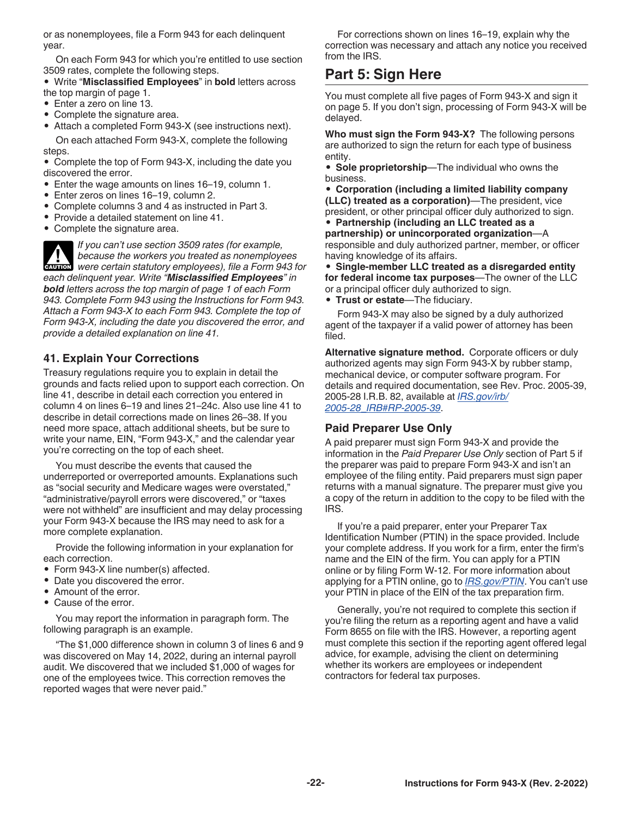<span id="page-21-0"></span>or as nonemployees, file a Form 943 for each delinquent year.

On each Form 943 for which you're entitled to use section 3509 rates, complete the following steps.

#### • Write "**Misclassified Employees**" in **bold** letters across the top margin of page 1.

- Enter a zero on line 13.
- Complete the signature area.

• Attach a completed Form 943-X (see instructions next). On each attached Form 943-X, complete the following steps.

• Complete the top of Form 943-X, including the date you discovered the error.

- Enter the wage amounts on lines 16–19, column 1.
- Enter zeros on lines 16–19, column 2.
- Complete columns 3 and 4 as instructed in Part 3.
- Provide a detailed statement on line 41.
- Complete the signature area.

*If you can't use section 3509 rates (for example, because the workers you treated as nonemployees*  **WE ARE SERVICES** *were certain statutory employees), file a Form 943 for each delinquent year. Write "Misclassified Employees" in bold letters across the top margin of page 1 of each Form 943. Complete Form 943 using the Instructions for Form 943. Attach a Form 943-X to each Form 943. Complete the top of Form 943-X, including the date you discovered the error, and provide a detailed explanation on line 41.*

### **41. Explain Your Corrections**

Treasury regulations require you to explain in detail the grounds and facts relied upon to support each correction. On line 41, describe in detail each correction you entered in column 4 on lines 6–19 and lines 21–24c. Also use line 41 to describe in detail corrections made on lines 26–38. If you need more space, attach additional sheets, but be sure to write your name, EIN, "Form 943-X," and the calendar year you're correcting on the top of each sheet.

You must describe the events that caused the underreported or overreported amounts. Explanations such as "social security and Medicare wages were overstated," "administrative/payroll errors were discovered," or "taxes were not withheld" are insufficient and may delay processing your Form 943-X because the IRS may need to ask for a more complete explanation.

Provide the following information in your explanation for each correction.

- Form 943-X line number(s) affected.
- Date you discovered the error.
- Amount of the error.
- Cause of the error.

You may report the information in paragraph form. The following paragraph is an example.

"The \$1,000 difference shown in column 3 of lines 6 and 9 was discovered on May 14, 2022, during an internal payroll audit. We discovered that we included \$1,000 of wages for one of the employees twice. This correction removes the reported wages that were never paid."

For corrections shown on lines 16–19, explain why the correction was necessary and attach any notice you received from the IRS.

# **Part 5: Sign Here**

You must complete all five pages of Form 943-X and sign it on page 5. If you don't sign, processing of Form 943-X will be delayed.

**Who must sign the Form 943-X?** The following persons are authorized to sign the return for each type of business entity.

• **Sole proprietorship**—The individual who owns the business.

• **Corporation (including a limited liability company (LLC) treated as a corporation)**—The president, vice president, or other principal officer duly authorized to sign. • **Partnership (including an LLC treated as a** 

**partnership) or unincorporated organization**—A responsible and duly authorized partner, member, or officer having knowledge of its affairs.

• **Single-member LLC treated as a disregarded entity for federal income tax purposes**—The owner of the LLC or a principal officer duly authorized to sign.

• **Trust or estate**—The fiduciary.

Form 943-X may also be signed by a duly authorized agent of the taxpayer if a valid power of attorney has been filed.

**Alternative signature method.** Corporate officers or duly authorized agents may sign Form 943-X by rubber stamp, mechanical device, or computer software program. For details and required documentation, see Rev. Proc. 2005-39, 2005-28 I.R.B. 82, available at *[IRS.gov/irb/](https://www.irs.gov/irb/2005-28_IRB#RP-2005-39) [2005-28\\_IRB#RP-2005-39](https://www.irs.gov/irb/2005-28_IRB#RP-2005-39)*.

#### **Paid Preparer Use Only**

A paid preparer must sign Form 943-X and provide the information in the *Paid Preparer Use Only* section of Part 5 if the preparer was paid to prepare Form 943-X and isn't an employee of the filing entity. Paid preparers must sign paper returns with a manual signature. The preparer must give you a copy of the return in addition to the copy to be filed with the IRS.

If you're a paid preparer, enter your Preparer Tax Identification Number (PTIN) in the space provided. Include your complete address. If you work for a firm, enter the firm's name and the EIN of the firm. You can apply for a PTIN online or by filing Form W-12. For more information about applying for a PTIN online, go to *[IRS.gov/PTIN](https://www.irs.gov/ptin)*. You can't use your PTIN in place of the EIN of the tax preparation firm.

Generally, you're not required to complete this section if you're filing the return as a reporting agent and have a valid Form 8655 on file with the IRS. However, a reporting agent must complete this section if the reporting agent offered legal advice, for example, advising the client on determining whether its workers are employees or independent contractors for federal tax purposes.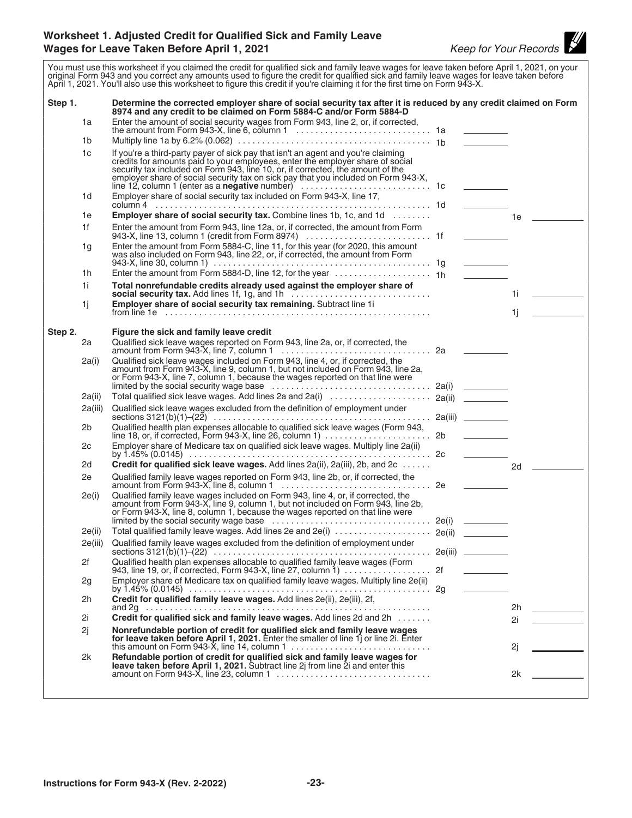#### <span id="page-22-0"></span>**Worksheet 1. Adjusted Credit for Qualified Sick and Family Leave Wages for Leave Taken Before April 1, 2021** *Keep for Your Records*



You must use this worksheet if you claimed the credit for qualified sick and family leave wages for leave taken before April 1, 2021, on your original Form 943 and you correct any amounts used to figure the credit for qualified sick and family leave wages for leave taken before April 1, 2021. You'll also use this worksheet to figure this credit if you're claiming it for the first time on Form 943-X. **Step 1. Determine the corrected employer share of social security tax after it is reduced by any credit claimed on Form 8974 and any credit to be claimed on Form 5884-C and/or Form 5884-D** 1a Enter the amount of social security wages from Form 943, line 2, or, if corrected, the amount from Form 943-X, line 6, column 1 ............................ 1a 1b Multiply line 1a by 6.2% (0.062) ........................................ 1b 1c If you're a third-party payer of sick pay that isn't an agent and you're claiming credits for amounts paid to your employees, enter the employer share of social security tax included on Form 943, line 10, or, if corrected, the amount of the employer share of social security tax on sick pay that you included on Form 943-X, line 12, column 1 (enter as a **negative** number) ........................... 1c 1d Employer share of social security tax included on Form 943-X, line 17, column 4 ......................................................... 1d 1e **Employer share of social security tax.** Combine lines 1b, 1c, and 1d ........ 1e 1f Enter the amount from Form 943, line 12a, or, if corrected, the amount from Form 943-X, line 13, column 1 (credit from Form 8974) .......................... 1f 1g Enter the amount from Form 5884-C, line 11, for this year (for 2020, this amount was also included on Form 943, line 22, or, if corrected, the amount from Form 943-X, line 30, column 1) ............................................. 1g 1h Enter the amount from Form 5884-D, line 12, for the year .................... 1h 1i **Total nonrefundable credits already used against the employer share of social security tax.** Add lines 1f, 1g, and 1h ............................. 1i 1j **Employer share of social security tax remaining.** Subtract line 1i from line 1e ....................................................... 1j **Step 2. Figure the sick and family leave credit** 2a Qualified sick leave wages reported on Form 943, line 2a, or, if corrected, the amount from Form 943-X, line 7, column 1 ............................... 2a 2a(i) Qualified sick leave wages included on Form 943, line 4, or, if corrected, the amount from Form 943-X, line 9, column 1, but not included on Form 943, line 2a, or Form 943-X, line 7, column 1, because the wages reported on that line were limited by the social security wage base  $\dots \dots \dots \dots \dots \dots \dots \dots \dots \dots$  2a(i) 2a(ii) Total qualified sick leave wages. Add lines 2a and 2a(i) ..................... 2a(ii) 2a(iii) Qualified sick leave wages excluded from the definition of employment under sections 3121(b)(1)–(22) ............................................. 2a(iii) 2b Qualified health plan expenses allocable to qualified sick leave wages (Form 943, line 18, or, if corrected, Form 943-X, line 26, column 1)  $\dots\dots\dots\dots\dots\dots\dots$  2b 2c Employer share of Medicare tax on qualified sick leave wages. Multiply line 2a(ii) by 1.45% (0.0145) .................................................. 2c 2d **Credit for qualified sick leave wages.** Add lines 2a(ii), 2a(iii), 2b, and 2c ...... 2e Qualified family leave wages reported on Form 943, line 2b, or, if corrected, the amount from Form 943-X, line 8, column 1 ............................... 2e 2e(i) Qualified family leave wages included on Form 943, line 4, or, if corrected, the amount from Form 943-X, line 9, column 1, but not included on Form 943, line 2b, or Form 943-X, line 8, column 1, because the wages reported on that line were limited by the social security wage base ................................. 2e(i) 2e(ii) Total qualified family leave wages. Add lines 2e and 2e(i) .................... 2e(ii) 2e(iii) Qualified family leave wages excluded from the definition of employment under sections 3121(b)(1)–(22) ............................................. 2e(iii) 2f Qualified health plan expenses allocable to qualified family leave wages (Form 943, line 19, or, if corrected, Form 943-X, line 27, column 1) .................. 2f 2g Employer share of Medicare tax on qualified family leave wages. Multiply line 2e(ii) by 1.45% (0.0145) .................................................. 2g 2h **Credit for qualified family leave wages.** Add lines 2e(ii), 2e(iii), 2f, and 2g ........................................................... 2h 2i **Credit for qualified sick and family leave wages.** Add lines 2d and 2h ....... 2i 2j **Nonrefundable portion of credit for qualified sick and family leave wages for leave taken before April 1, 2021.** Enter the smaller of line 1j or line 2i. Enter this amount on Form 943-X, line 14, column 1 ............................. 2j 2k **Refundable portion of credit for qualified sick and family leave wages for leave taken before April 1, 2021.** Subtract line 2j from line 2i and enter this amount on Form 943-X, line 23, column 1 ................................ 2k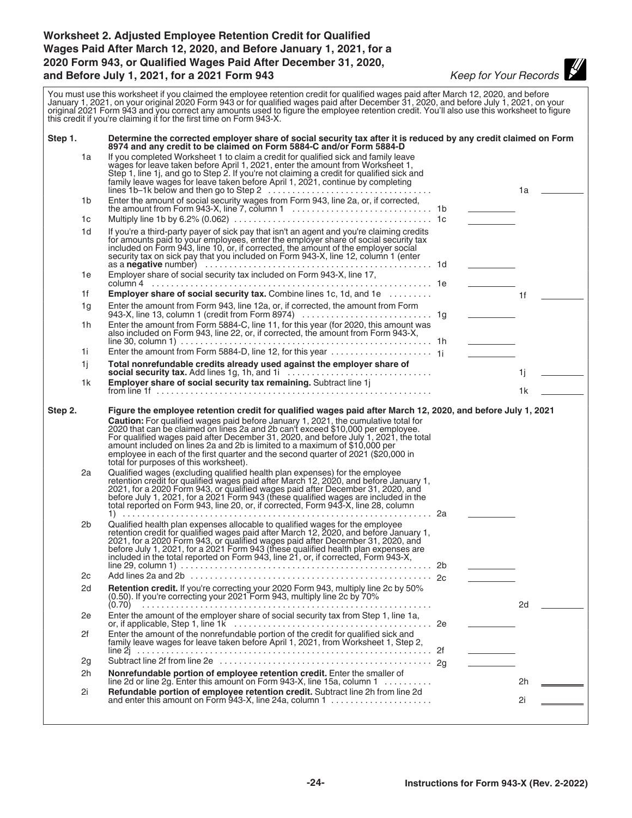# <span id="page-23-0"></span>**Worksheet 2. Adjusted Employee Retention Credit for Qualified Wages Paid After March 12, 2020, and Before January 1, 2021, for a 2020 Form 943, or Qualified Wages Paid After December 31, 2020, and Before July 1, 2021, for a 2021 Form 943** *Keep for Your Records*

| You must use this worksheet if you claimed the employee retention credit for qualified wages paid after March 12, 2020, and before<br>January 1, 2021, on your original 2020 Form 943 or for qualified wages paid after December 31, 2020, and before July 1, 2021, on your<br>original 2021 Form 943 and you correct any amounts used to figure the employee retention credit. You'll also use this worksheet to figure<br>this credit if you're claiming it for the first time on Form 943-X. |                                                                                                                 |                                                                                                                                                                                                                                                                                                                                                                                                                                                                                                                                                                                                                                                                                                                                                                                                                                                                                                                                                                                                                                                                                                                                                                                                                                                                                                                                                                                                                                                                     |  |                                   |                |  |
|-------------------------------------------------------------------------------------------------------------------------------------------------------------------------------------------------------------------------------------------------------------------------------------------------------------------------------------------------------------------------------------------------------------------------------------------------------------------------------------------------|-----------------------------------------------------------------------------------------------------------------|---------------------------------------------------------------------------------------------------------------------------------------------------------------------------------------------------------------------------------------------------------------------------------------------------------------------------------------------------------------------------------------------------------------------------------------------------------------------------------------------------------------------------------------------------------------------------------------------------------------------------------------------------------------------------------------------------------------------------------------------------------------------------------------------------------------------------------------------------------------------------------------------------------------------------------------------------------------------------------------------------------------------------------------------------------------------------------------------------------------------------------------------------------------------------------------------------------------------------------------------------------------------------------------------------------------------------------------------------------------------------------------------------------------------------------------------------------------------|--|-----------------------------------|----------------|--|
| Step 1.                                                                                                                                                                                                                                                                                                                                                                                                                                                                                         | Determine the corrected employer share of social security tax after it is reduced by any credit claimed on Form |                                                                                                                                                                                                                                                                                                                                                                                                                                                                                                                                                                                                                                                                                                                                                                                                                                                                                                                                                                                                                                                                                                                                                                                                                                                                                                                                                                                                                                                                     |  |                                   |                |  |
|                                                                                                                                                                                                                                                                                                                                                                                                                                                                                                 | 1a                                                                                                              | 8974 and any credit to be claimed on Form 5884-C and/or Form 5884-D<br>If you completed Worksheet 1 to claim a credit for qualified sick and family leave<br>wages for leave taken before April 1, 2021, enter the amount from Worksheet 1,<br>Step 1, line 1j, and go to Step 2. If you're not claiming a credit for qualified sick and<br>family leave wages for leave taken before April 1, 2021, continue by completing                                                                                                                                                                                                                                                                                                                                                                                                                                                                                                                                                                                                                                                                                                                                                                                                                                                                                                                                                                                                                                         |  |                                   | 1a             |  |
|                                                                                                                                                                                                                                                                                                                                                                                                                                                                                                 | 1b                                                                                                              |                                                                                                                                                                                                                                                                                                                                                                                                                                                                                                                                                                                                                                                                                                                                                                                                                                                                                                                                                                                                                                                                                                                                                                                                                                                                                                                                                                                                                                                                     |  |                                   |                |  |
|                                                                                                                                                                                                                                                                                                                                                                                                                                                                                                 | 1c                                                                                                              |                                                                                                                                                                                                                                                                                                                                                                                                                                                                                                                                                                                                                                                                                                                                                                                                                                                                                                                                                                                                                                                                                                                                                                                                                                                                                                                                                                                                                                                                     |  |                                   |                |  |
|                                                                                                                                                                                                                                                                                                                                                                                                                                                                                                 | 1d                                                                                                              | If you're a third-party payer of sick pay that isn't an agent and you're claiming credits<br>for amounts paid to your employees, enter the employer share of social security tax<br>included on Form 943, line 10, or, if corrected, the amount of the employer social<br>security tax on sick pay that you included on Form 943-X, line 12, column 1 (enter                                                                                                                                                                                                                                                                                                                                                                                                                                                                                                                                                                                                                                                                                                                                                                                                                                                                                                                                                                                                                                                                                                        |  |                                   |                |  |
|                                                                                                                                                                                                                                                                                                                                                                                                                                                                                                 | 1e                                                                                                              | Employer share of social security tax included on Form 943-X, line 17,                                                                                                                                                                                                                                                                                                                                                                                                                                                                                                                                                                                                                                                                                                                                                                                                                                                                                                                                                                                                                                                                                                                                                                                                                                                                                                                                                                                              |  |                                   |                |  |
|                                                                                                                                                                                                                                                                                                                                                                                                                                                                                                 | 1f                                                                                                              | Employer share of social security tax. Combine lines 1c, 1d, and 1e                                                                                                                                                                                                                                                                                                                                                                                                                                                                                                                                                                                                                                                                                                                                                                                                                                                                                                                                                                                                                                                                                                                                                                                                                                                                                                                                                                                                 |  |                                   |                |  |
|                                                                                                                                                                                                                                                                                                                                                                                                                                                                                                 |                                                                                                                 |                                                                                                                                                                                                                                                                                                                                                                                                                                                                                                                                                                                                                                                                                                                                                                                                                                                                                                                                                                                                                                                                                                                                                                                                                                                                                                                                                                                                                                                                     |  |                                   | 1 <sup>f</sup> |  |
|                                                                                                                                                                                                                                                                                                                                                                                                                                                                                                 | 1g                                                                                                              | Enter the amount from Form 943, line 12a, or, if corrected, the amount from Form                                                                                                                                                                                                                                                                                                                                                                                                                                                                                                                                                                                                                                                                                                                                                                                                                                                                                                                                                                                                                                                                                                                                                                                                                                                                                                                                                                                    |  |                                   |                |  |
|                                                                                                                                                                                                                                                                                                                                                                                                                                                                                                 | 1h                                                                                                              | Enter the amount from Form 5884-C, line 11, for this year (for 2020, this amount was<br>also included on Form 943, line 22, or, if corrected, the amount from Form 943-X,                                                                                                                                                                                                                                                                                                                                                                                                                                                                                                                                                                                                                                                                                                                                                                                                                                                                                                                                                                                                                                                                                                                                                                                                                                                                                           |  |                                   |                |  |
|                                                                                                                                                                                                                                                                                                                                                                                                                                                                                                 |                                                                                                                 |                                                                                                                                                                                                                                                                                                                                                                                                                                                                                                                                                                                                                                                                                                                                                                                                                                                                                                                                                                                                                                                                                                                                                                                                                                                                                                                                                                                                                                                                     |  |                                   |                |  |
|                                                                                                                                                                                                                                                                                                                                                                                                                                                                                                 | 1i.                                                                                                             |                                                                                                                                                                                                                                                                                                                                                                                                                                                                                                                                                                                                                                                                                                                                                                                                                                                                                                                                                                                                                                                                                                                                                                                                                                                                                                                                                                                                                                                                     |  | <u>and the state of the state</u> |                |  |
|                                                                                                                                                                                                                                                                                                                                                                                                                                                                                                 | 1i                                                                                                              | Total nonrefundable credits already used against the employer share of<br>social security tax. Add lines 1g, 1h, and 1i                                                                                                                                                                                                                                                                                                                                                                                                                                                                                                                                                                                                                                                                                                                                                                                                                                                                                                                                                                                                                                                                                                                                                                                                                                                                                                                                             |  |                                   | 1j.            |  |
|                                                                                                                                                                                                                                                                                                                                                                                                                                                                                                 | 1k                                                                                                              | Employer share of social security tax remaining. Subtract line 1j                                                                                                                                                                                                                                                                                                                                                                                                                                                                                                                                                                                                                                                                                                                                                                                                                                                                                                                                                                                                                                                                                                                                                                                                                                                                                                                                                                                                   |  |                                   | 1k             |  |
| Step 2.                                                                                                                                                                                                                                                                                                                                                                                                                                                                                         | 2a<br>2b                                                                                                        | Figure the employee retention credit for qualified wages paid after March 12, 2020, and before July 1, 2021<br>Caution: For qualified wages paid before January 1, 2021, the cumulative total for<br>2020 that can be claimed on lines 2a and 2b can't exceed \$10,000 per employee.<br>For qualified wages paid after December 31, 2020, and before July 1, 2021, the total<br>amount included on lines 2a and 2b is limited to a maximum of \$10,000 per<br>employee in each of the first quarter and the second quarter of 2021 (\$20,000 in<br>total for purposes of this worksheet).<br>Qualified wages (excluding qualified health plan expenses) for the employee<br>retention credit for qualified wages paid after March 12, 2020, and before January 1,<br>2021, for a 2020 Form 943, or qualified wages paid after December 31, 2020, and<br>before July 1, 2021, for a 2021 Form 943 (these qualified wages are included in the total reported on Form 943, line 20, or, if corrected, Form 943-X, line 28, column<br>Qualified health plan expenses allocable to qualified wages for the employee retention credit for qualified wages paid after March 12, 2020, and before January 1,<br>2021, for a 2020 Form 943, or qualified wages paid after December 31, 2020, and<br>before July 1, 2021, for a 2021 Form 943 (these qualified health plan expenses are<br>included in the total reported on Form 943, line 21, or, if corrected, Form 943-X, |  |                                   |                |  |
|                                                                                                                                                                                                                                                                                                                                                                                                                                                                                                 | 2c                                                                                                              |                                                                                                                                                                                                                                                                                                                                                                                                                                                                                                                                                                                                                                                                                                                                                                                                                                                                                                                                                                                                                                                                                                                                                                                                                                                                                                                                                                                                                                                                     |  |                                   |                |  |
|                                                                                                                                                                                                                                                                                                                                                                                                                                                                                                 | 2d                                                                                                              | Retention credit. If you're correcting your 2020 Form 943, multiply line 2c by 50%<br>(0.50). If you're correcting your 2021 Form 943, multiply line 2c by 70%                                                                                                                                                                                                                                                                                                                                                                                                                                                                                                                                                                                                                                                                                                                                                                                                                                                                                                                                                                                                                                                                                                                                                                                                                                                                                                      |  |                                   |                |  |
|                                                                                                                                                                                                                                                                                                                                                                                                                                                                                                 | 2e                                                                                                              | Enter the amount of the employer share of social security tax from Step 1, line 1a,                                                                                                                                                                                                                                                                                                                                                                                                                                                                                                                                                                                                                                                                                                                                                                                                                                                                                                                                                                                                                                                                                                                                                                                                                                                                                                                                                                                 |  |                                   | 2d             |  |
|                                                                                                                                                                                                                                                                                                                                                                                                                                                                                                 | 2f                                                                                                              | Enter the amount of the nonrefundable portion of the credit for qualified sick and<br>family leave wages for leave taken before April 1, 2021, from Worksheet 1, Step 2,                                                                                                                                                                                                                                                                                                                                                                                                                                                                                                                                                                                                                                                                                                                                                                                                                                                                                                                                                                                                                                                                                                                                                                                                                                                                                            |  |                                   |                |  |
|                                                                                                                                                                                                                                                                                                                                                                                                                                                                                                 | 2g                                                                                                              |                                                                                                                                                                                                                                                                                                                                                                                                                                                                                                                                                                                                                                                                                                                                                                                                                                                                                                                                                                                                                                                                                                                                                                                                                                                                                                                                                                                                                                                                     |  |                                   |                |  |
|                                                                                                                                                                                                                                                                                                                                                                                                                                                                                                 |                                                                                                                 | Nonrefundable portion of employee retention credit. Enter the smaller of                                                                                                                                                                                                                                                                                                                                                                                                                                                                                                                                                                                                                                                                                                                                                                                                                                                                                                                                                                                                                                                                                                                                                                                                                                                                                                                                                                                            |  |                                   |                |  |
|                                                                                                                                                                                                                                                                                                                                                                                                                                                                                                 | 2h                                                                                                              | line 2d or line 2g. Enter this amount on Form 943-X, line 15a, column 1                                                                                                                                                                                                                                                                                                                                                                                                                                                                                                                                                                                                                                                                                                                                                                                                                                                                                                                                                                                                                                                                                                                                                                                                                                                                                                                                                                                             |  |                                   | 2h             |  |
|                                                                                                                                                                                                                                                                                                                                                                                                                                                                                                 | 2i                                                                                                              | Refundable portion of employee retention credit. Subtract line 2h from line 2d                                                                                                                                                                                                                                                                                                                                                                                                                                                                                                                                                                                                                                                                                                                                                                                                                                                                                                                                                                                                                                                                                                                                                                                                                                                                                                                                                                                      |  |                                   | 2i             |  |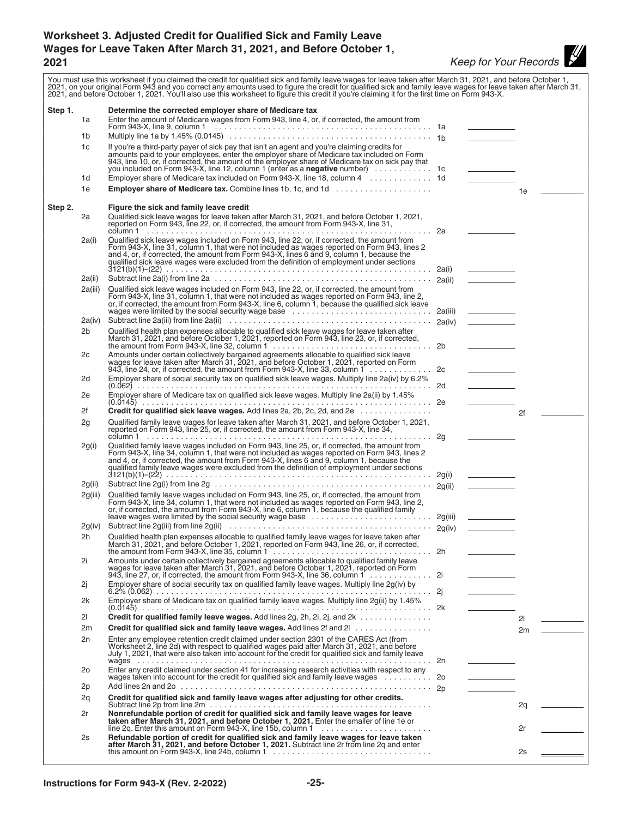# <span id="page-24-0"></span>**Worksheet 3. Adjusted Credit for Qualified Sick and Family Leave Wages for Leave Taken After March 31, 2021, and Before October 1, 2021** *Keep for Your Records*

|         |         | You must use this worksheet if you claimed the credit for qualified sick and family leave wages for leave taken after March 31, 2021, and before October 1,<br>2021, on your original Form 943 and you correct any amounts used to figure the credit for qualified sick and family leave wages for leave taken after March 31,<br>2021, and before October 1, 2021. You'll also use this worksheet to figure this credit if you're claiming it for the first time on Form 943-X. |         |                                                                                                                                                                                                                                            |    |  |
|---------|---------|----------------------------------------------------------------------------------------------------------------------------------------------------------------------------------------------------------------------------------------------------------------------------------------------------------------------------------------------------------------------------------------------------------------------------------------------------------------------------------|---------|--------------------------------------------------------------------------------------------------------------------------------------------------------------------------------------------------------------------------------------------|----|--|
| Step 1. | 1a      | Determine the corrected employer share of Medicare tax<br>Enter the amount of Medicare wages from Form 943, line 4, or, if corrected, the amount from                                                                                                                                                                                                                                                                                                                            |         |                                                                                                                                                                                                                                            |    |  |
|         | 1b      |                                                                                                                                                                                                                                                                                                                                                                                                                                                                                  |         |                                                                                                                                                                                                                                            |    |  |
|         | 1c      | If you're a third-party payer of sick pay that isn't an agent and you're claiming credits for<br>amounts paid to your employees, enter the employer share of Medicare tax included on Form<br>943, line 10, or, if corrected, the amount of the employer share of Medicare tax on sick pay that                                                                                                                                                                                  |         |                                                                                                                                                                                                                                            |    |  |
|         |         | you included on Form 943-X, line 12, column 1 (enter as a negative number)                                                                                                                                                                                                                                                                                                                                                                                                       |         | $\overline{\phantom{a}}$ . The contract of the contract of the contract of the contract of the contract of the contract of the contract of the contract of the contract of the contract of the contract of the contract of the contract of |    |  |
|         | 1d      | Employer share of Medicare tax included on Form 943-X, line 18, column 4 1d                                                                                                                                                                                                                                                                                                                                                                                                      |         |                                                                                                                                                                                                                                            |    |  |
|         | 1e      | <b>Employer share of Medicare tax.</b> Combine lines 1b, 1c, and 1d                                                                                                                                                                                                                                                                                                                                                                                                              |         |                                                                                                                                                                                                                                            | 1e |  |
| Step 2. | 2a      | Figure the sick and family leave credit<br>Qualified sick leave wages for leave taken after March 31, 2021, and before October 1, 2021, reported on Form 943, line 22, or, if corrected, the amount from Form 943-X, line 31,                                                                                                                                                                                                                                                    |         |                                                                                                                                                                                                                                            |    |  |
|         | 2a(i)   | Qualified sick leave wages included on Form 943, line 22, or, if corrected, the amount from<br>Form 943-X, line 31, column 1, that were not included as wages reported on Form 943, lines 2<br>and 4, or, if corrected, the amount from Form 943-X, lines 6 and 9, column 1, because the qualified sick leave wages were excluded from the definition of employment under sections                                                                                               | 2a(i)   |                                                                                                                                                                                                                                            |    |  |
|         | 2a(ii)  |                                                                                                                                                                                                                                                                                                                                                                                                                                                                                  | 2a(ii)  |                                                                                                                                                                                                                                            |    |  |
|         | 2a(iii) | Qualified sick leave wages included on Form 943, line 22, or, if corrected, the amount from<br>Form 943-X, line 31, column 1, that were not included as wages reported on Form 943, line 2,                                                                                                                                                                                                                                                                                      |         |                                                                                                                                                                                                                                            |    |  |
|         | 2a(iv)  |                                                                                                                                                                                                                                                                                                                                                                                                                                                                                  |         | the company of the company                                                                                                                                                                                                                 |    |  |
|         | 2b      |                                                                                                                                                                                                                                                                                                                                                                                                                                                                                  | 2a(iv)  | <u>and the state</u>                                                                                                                                                                                                                       |    |  |
|         |         | Qualified health plan expenses allocable to qualified sick leave wages for leave taken after<br>March 31, 2021, and before October 1, 2021, reported on Form 943, line 23, or, if corrected,                                                                                                                                                                                                                                                                                     |         |                                                                                                                                                                                                                                            |    |  |
|         | 2c      | Amounts under certain collectively bargained agreements allocable to qualified sick leave<br>wages for leave taken after March 31, 2021, and before October 1, 2021, reported on Form<br>943, line 24, or, if corrected, the amount from Form 943-X, line 33, column 1 $\ldots \ldots \ldots$                                                                                                                                                                                    |         |                                                                                                                                                                                                                                            |    |  |
|         | 2d      | Employer share of social security tax on qualified sick leave wages. Multiply line 2a(iv) by 6.2%                                                                                                                                                                                                                                                                                                                                                                                |         |                                                                                                                                                                                                                                            |    |  |
|         | 2e      | Employer share of Medicare tax on qualified sick leave wages. Multiply line 2a(ii) by 1.45%                                                                                                                                                                                                                                                                                                                                                                                      |         |                                                                                                                                                                                                                                            |    |  |
|         | 2f      | <b>Credit for qualified sick leave wages.</b> Add lines 2a, 2b, 2c, 2d, and 2e $\ldots$ , $\ldots$ , $\ldots$                                                                                                                                                                                                                                                                                                                                                                    |         |                                                                                                                                                                                                                                            | 2f |  |
|         | 2g      | Qualified family leave wages for leave taken after March 31, 2021, and before October 1, 2021,<br>reported on Form 943, line 25, or, if corrected, the amount from Form 943-X, line 34,                                                                                                                                                                                                                                                                                          |         |                                                                                                                                                                                                                                            |    |  |
|         | 2g(i)   | Qualified family leave wages included on Form 943, line 25, or, if corrected, the amount from<br>Form 943-X, line 34, column 1, that were not included as wages reported on Form 943, lines 2<br>and 4, or, if corrected, the amount from Form 943-X, lines 6 and 9, column 1, because the<br>qualified family leave wages were excluded from the definition of employment under sections                                                                                        | 2g(i)   |                                                                                                                                                                                                                                            |    |  |
|         | 2g(ii)  |                                                                                                                                                                                                                                                                                                                                                                                                                                                                                  | 2g(ii)  |                                                                                                                                                                                                                                            |    |  |
|         | 2g(iii) | Qualified family leave wages included on Form 943, line 25, or, if corrected, the amount from<br>Form 943-X, line 34, column 1, that were not included as wages reported on Form 943, line 2,<br>or, if corrected, the amount from Form 943-X, line 6, column 1, because the qualified family<br>leave wages were limited by the social security wage base                                                                                                                       | 2g(iii) |                                                                                                                                                                                                                                            |    |  |
|         | 2g(iv)  |                                                                                                                                                                                                                                                                                                                                                                                                                                                                                  |         |                                                                                                                                                                                                                                            |    |  |
|         | 2h      | Qualified health plan expenses allocable to qualified family leave wages for leave taken after<br>March 31, 2021, and before October 1, 2021, reported on Form 943, line 26, or, if corrected,                                                                                                                                                                                                                                                                                   |         |                                                                                                                                                                                                                                            |    |  |
|         | 2i      | Amounts under certain collectively bargained agreements allocable to qualified family leave<br>wages for leave taken after March 31, 2021, and before October 1, 2021, reported on Form<br>943, line 27, or, if corrected, the amount from Form 943-X, line 36, column 1 2i                                                                                                                                                                                                      |         |                                                                                                                                                                                                                                            |    |  |
|         | 2j      | Employer share of social security tax on qualified family leave wages. Multiply line 2g(iv) by                                                                                                                                                                                                                                                                                                                                                                                   |         |                                                                                                                                                                                                                                            |    |  |
|         | 2k      | Employer share of Medicare tax on qualified family leave wages. Multiply line 2g(ii) by 1.45%                                                                                                                                                                                                                                                                                                                                                                                    |         |                                                                                                                                                                                                                                            |    |  |
|         | 21      |                                                                                                                                                                                                                                                                                                                                                                                                                                                                                  |         |                                                                                                                                                                                                                                            | 21 |  |
|         | 2m      | <b>Credit for qualified sick and family leave wages.</b> Add lines 2f and 2l                                                                                                                                                                                                                                                                                                                                                                                                     |         |                                                                                                                                                                                                                                            | 2m |  |
|         | 2n      | Enter any employee retention credit claimed under section 2301 of the CARES Act (from<br>Worksheet 2, line 2d) with respect to qualified wages paid after March 31, 2021, and before<br>July 1, 2021, that were also taken into account for the credit for qualified sick and family leave                                                                                                                                                                                       |         |                                                                                                                                                                                                                                            |    |  |
|         | 2o      | Enter any credit claimed under section 41 for increasing research activities with respect to any                                                                                                                                                                                                                                                                                                                                                                                 |         |                                                                                                                                                                                                                                            |    |  |
|         | 2p      | wages taken into account for the credit for qualified sick and family leave wages $\ldots \ldots \ldots$                                                                                                                                                                                                                                                                                                                                                                         |         |                                                                                                                                                                                                                                            |    |  |
|         | 2q      | Credit for qualified sick and family leave wages after adjusting for other credits.                                                                                                                                                                                                                                                                                                                                                                                              |         |                                                                                                                                                                                                                                            |    |  |
|         |         |                                                                                                                                                                                                                                                                                                                                                                                                                                                                                  |         |                                                                                                                                                                                                                                            | 2q |  |
|         | 2r      | Nonrefundable portion of credit for qualified sick and family leave wages for leave<br>taken after March 31, 2021, and before October 1, 2021. Enter the smaller of line 1e or                                                                                                                                                                                                                                                                                                   |         |                                                                                                                                                                                                                                            | 2r |  |
|         | 2s      | Refundable portion of credit for qualified sick and family leave wages for leave taken<br>after March 31, 2021, and before October 1, 2021. Subtract line 2r from line 2q and enter this amount on Form 943-X, line 24b, column 1                                                                                                                                                                                                                                                |         |                                                                                                                                                                                                                                            | 2s |  |
|         |         |                                                                                                                                                                                                                                                                                                                                                                                                                                                                                  |         |                                                                                                                                                                                                                                            |    |  |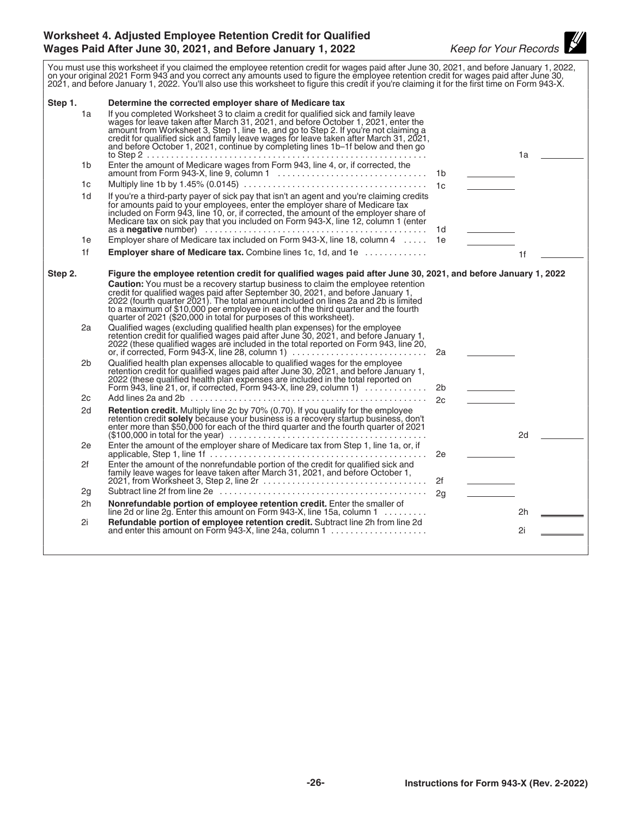#### <span id="page-25-0"></span>**Worksheet 4. Adjusted Employee Retention Credit for Qualified Wages Paid After June 30, 2021, and Before January 1, 2022** *Keep for Your Records*

You must use this worksheet if you claimed the employee retention credit for wages paid after June 30, 2021, and before January 1, 2022, on your original 2021 Form 943 and you correct any amounts used to figure the employee retention credit for wages paid after June 30, 2021, and before January 1, 2022. You'll also use this worksheet to figure this credit if you're claiming it for the first time on Form 943-X. **Step 1. Determine the corrected employer share of Medicare tax** 1a If you completed Worksheet 3 to claim a credit for qualified sick and family leave wages for leave taken after March 31, 2021, and before October 1, 2021, enter the amount from Worksheet 3, Step 1, line 1e, and go to Step 2. If you're not claiming a credit for qualified sick and family leave wages for leave taken after March 31, 2021, and before October 1, 2021, continue by completing lines 1b–1f below and then go to Step 2 .......................................................... 1a 1b Enter the amount of Medicare wages from Form 943, line 4, or, if corrected, the amount from Form 943-X, line 9, column 1 ............................... 1b 1c Multiply line 1b by 1.45% (0.0145) ...................................... 1c 1d If you're a third-party payer of sick pay that isn't an agent and you're claiming credits for amounts paid to your employees, enter the employer share of Medicare tax included on Form 943, line 10, or, if corrected, the amount of the employer share of Medicare tax on sick pay that you included on Form 943-X, line 12, column 1 (enter as a **negative** number) .............................................. 1d 1e Employer share of Medicare tax included on Form 943-X, line 18, column 4 ..... 1e 1f **Employer share of Medicare tax.** Combine lines 1c, 1d, and 1e ............. 1f **Step 2. Figure the employee retention credit for qualified wages paid after June 30, 2021, and before January 1, 2022 Caution:** You must be a recovery startup business to claim the employee retention credit for qualified wages paid after September 30, 2021, and before January 1, 2022 (fourth quarter 2021). The total amount included on lines 2a and 2b is limited to a maximum of \$10,000 per employee in each of the third quarter and the fourth quarter of 2021 (\$20,000 in total for purposes of this worksheet). 2a Qualified wages (excluding qualified health plan expenses) for the employee retention credit for qualified wages paid after June 30, 2021, and before January 1, 2022 (these qualified wages are included in the total reported on Form 943, line 20, or, if corrected, Form 943-X, line 28, column 1) ............................ 2a 2b Qualified health plan expenses allocable to qualified wages for the employee retention credit for qualified wages paid after June 30, 2021, and before January 1, 2022 (these qualified health plan expenses are included in the total reported on Form 943, line 21, or, if corrected, Form 943-X, line 29, column 1) ............. 2b 2c Add lines 2a and 2b ................................................. 2c 2d **Retention credit.** Multiply line 2c by 70% (0.70). If you qualify for the employee retention credit **solely** because your business is a recovery startup business, don't enter more than \$50,000 for each of the third quarter and the fourth quarter of 2021 (\$100,000 in total for the year) ......................................... 2d 2e Enter the amount of the employer share of Medicare tax from Step 1, line 1a, or, if applicable, Step 1, line 1f ............................................. 2e 2f Enter the amount of the nonrefundable portion of the credit for qualified sick and family leave wages for leave taken after March 31, 2021, and before October 1, 2021, from Worksheet 3, Step 2, line 2r .................................. 2f 2g Subtract line 2f from line 2e ........................................... 2g 2h **Nonrefundable portion of employee retention credit.** Enter the smaller of line 2d or line 2g. Enter this amount on Form 943-X, line 15a, column 1 ......... 2h 2i **Refundable portion of employee retention credit.** Subtract line 2h from line 2d and enter this amount on Form 943-X, line 24a, column 1 .................... 2i